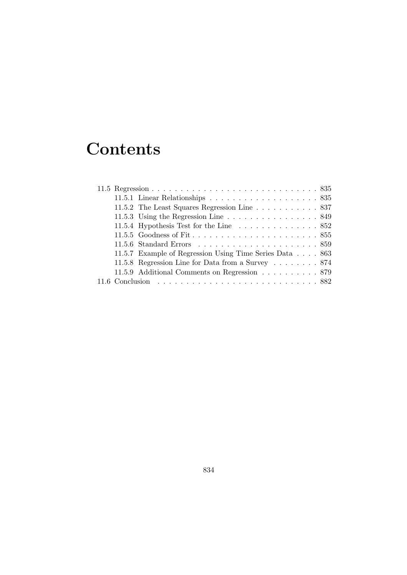# **Contents**

| 11.5.1 Linear Relationships $\ldots \ldots \ldots \ldots \ldots \ldots \ldots 835$ |
|------------------------------------------------------------------------------------|
| 11.5.2 The Least Squares Regression Line 837                                       |
| 11.5.3 Using the Regression Line $\ldots \ldots \ldots \ldots \ldots 849$          |
| 11.5.4 Hypothesis Test for the Line $\ldots \ldots \ldots \ldots \ldots 852$       |
|                                                                                    |
|                                                                                    |
| 11.5.7 Example of Regression Using Time Series Data 863                            |
| 11.5.8 Regression Line for Data from a Survey 874                                  |
| 11.5.9 Additional Comments on Regression 879                                       |
|                                                                                    |
|                                                                                    |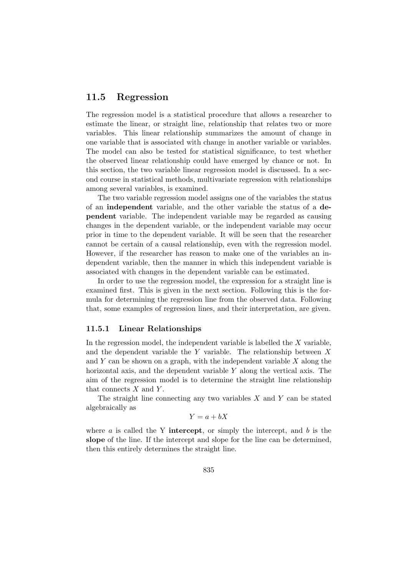# 11.5 Regression

The regression model is a statistical procedure that allows a researcher to estimate the linear, or straight line, relationship that relates two or more variables. This linear relationship summarizes the amount of change in one variable that is associated with change in another variable or variables. The model can also be tested for statistical significance, to test whether the observed linear relationship could have emerged by chance or not. In this section, the two variable linear regression model is discussed. In a second course in statistical methods, multivariate regression with relationships among several variables, is examined.

The two variable regression model assigns one of the variables the status of an independent variable, and the other variable the status of a dependent variable. The independent variable may be regarded as causing changes in the dependent variable, or the independent variable may occur prior in time to the dependent variable. It will be seen that the researcher cannot be certain of a causal relationship, even with the regression model. However, if the researcher has reason to make one of the variables an independent variable, then the manner in which this independent variable is associated with changes in the dependent variable can be estimated.

In order to use the regression model, the expression for a straight line is examined first. This is given in the next section. Following this is the formula for determining the regression line from the observed data. Following that, some examples of regression lines, and their interpretation, are given.

#### 11.5.1 Linear Relationships

In the regression model, the independent variable is labelled the  $X$  variable. and the dependent variable the Y variable. The relationship between X and Y can be shown on a graph, with the independent variable  $X$  along the horizontal axis, and the dependent variable  $Y$  along the vertical axis. The aim of the regression model is to determine the straight line relationship that connects  $X$  and  $Y$ .

The straight line connecting any two variables  $X$  and  $Y$  can be stated algebraically as

$$
Y = a + bX
$$

where  $a$  is called the Y **intercept**, or simply the intercept, and  $b$  is the slope of the line. If the intercept and slope for the line can be determined, then this entirely determines the straight line.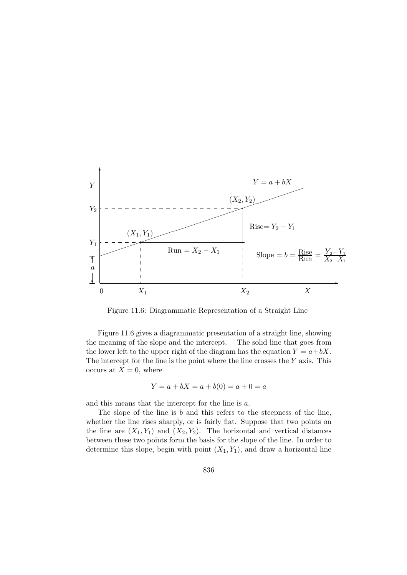

Figure 11.6: Diagrammatic Representation of a Straight Line

Figure 11.6 gives a diagrammatic presentation of a straight line, showing the meaning of the slope and the intercept. The solid line that goes from the lower left to the upper right of the diagram has the equation  $Y = a + bX$ . The intercept for the line is the point where the line crosses the  $Y$  axis. This occurs at  $X = 0$ , where

$$
Y = a + bX = a + b(0) = a + 0 = a
$$

and this means that the intercept for the line is a.

The slope of the line is  $b$  and this refers to the steepness of the line, whether the line rises sharply, or is fairly flat. Suppose that two points on the line are  $(X_1, Y_1)$  and  $(X_2, Y_2)$ . The horizontal and vertical distances between these two points form the basis for the slope of the line. In order to determine this slope, begin with point  $(X_1, Y_1)$ , and draw a horizontal line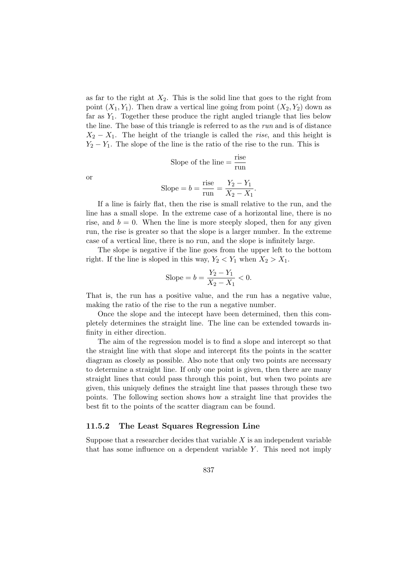as far to the right at  $X_2$ . This is the solid line that goes to the right from point  $(X_1, Y_1)$ . Then draw a vertical line going from point  $(X_2, Y_2)$  down as far as  $Y_1$ . Together these produce the right angled triangle that lies below the line. The base of this triangle is referred to as the run and is of distance  $X_2 - X_1$ . The height of the triangle is called the *rise*, and this height is  $Y_2 - Y_1$ . The slope of the line is the ratio of the rise to the run. This is

Slope of the line = 
$$
\frac{\text{rise}}{\text{run}}
$$

or

Slope = 
$$
b = \frac{\text{rise}}{\text{run}} = \frac{Y_2 - Y_1}{X_2 - X_1}.
$$

If a line is fairly flat, then the rise is small relative to the run, and the line has a small slope. In the extreme case of a horizontal line, there is no rise, and  $b = 0$ . When the line is more steeply sloped, then for any given run, the rise is greater so that the slope is a larger number. In the extreme case of a vertical line, there is no run, and the slope is infinitely large.

The slope is negative if the line goes from the upper left to the bottom right. If the line is sloped in this way,  $Y_2 < Y_1$  when  $X_2 > X_1$ .

Slope = 
$$
b = \frac{Y_2 - Y_1}{X_2 - X_1} < 0
$$
.

That is, the run has a positive value, and the run has a negative value, making the ratio of the rise to the run a negative number.

Once the slope and the intecept have been determined, then this completely determines the straight line. The line can be extended towards infinity in either direction.

The aim of the regression model is to find a slope and intercept so that the straight line with that slope and intercept fits the points in the scatter diagram as closely as possible. Also note that only two points are necessary to determine a straight line. If only one point is given, then there are many straight lines that could pass through this point, but when two points are given, this uniquely defines the straight line that passes through these two points. The following section shows how a straight line that provides the best fit to the points of the scatter diagram can be found.

#### 11.5.2 The Least Squares Regression Line

Suppose that a researcher decides that variable  $X$  is an independent variable that has some influence on a dependent variable  $Y$ . This need not imply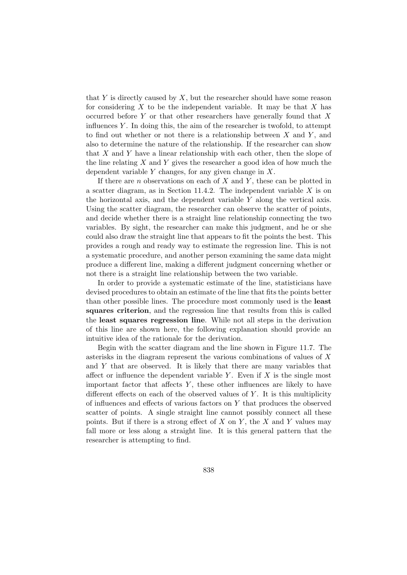that  $Y$  is directly caused by  $X$ , but the researcher should have some reason for considering  $X$  to be the independent variable. It may be that  $X$  has occurred before Y or that other researchers have generally found that  $X$ influences  $Y$ . In doing this, the aim of the researcher is twofold, to attempt to find out whether or not there is a relationship between  $X$  and  $Y$ , and also to determine the nature of the relationship. If the researcher can show that  $X$  and  $Y$  have a linear relationship with each other, then the slope of the line relating X and Y gives the researcher a good idea of how much the dependent variable  $Y$  changes, for any given change in  $X$ .

If there are *n* observations on each of  $X$  and  $Y$ , these can be plotted in a scatter diagram, as in Section 11.4.2. The independent variable  $X$  is on the horizontal axis, and the dependent variable Y along the vertical axis. Using the scatter diagram, the researcher can observe the scatter of points, and decide whether there is a straight line relationship connecting the two variables. By sight, the researcher can make this judgment, and he or she could also draw the straight line that appears to fit the points the best. This provides a rough and ready way to estimate the regression line. This is not a systematic procedure, and another person examining the same data might produce a different line, making a different judgment concerning whether or not there is a straight line relationship between the two variable.

In order to provide a systematic estimate of the line, statisticians have devised procedures to obtain an estimate of the line that fits the points better than other possible lines. The procedure most commonly used is the least squares criterion, and the regression line that results from this is called the least squares regression line. While not all steps in the derivation of this line are shown here, the following explanation should provide an intuitive idea of the rationale for the derivation.

Begin with the scatter diagram and the line shown in Figure 11.7. The asterisks in the diagram represent the various combinations of values of X and Y that are observed. It is likely that there are many variables that affect or influence the dependent variable Y. Even if  $X$  is the single most important factor that affects  $Y$ , these other influences are likely to have different effects on each of the observed values of  $Y$ . It is this multiplicity of influences and effects of various factors on Y that produces the observed scatter of points. A single straight line cannot possibly connect all these points. But if there is a strong effect of  $X$  on  $Y$ , the  $X$  and  $Y$  values may fall more or less along a straight line. It is this general pattern that the researcher is attempting to find.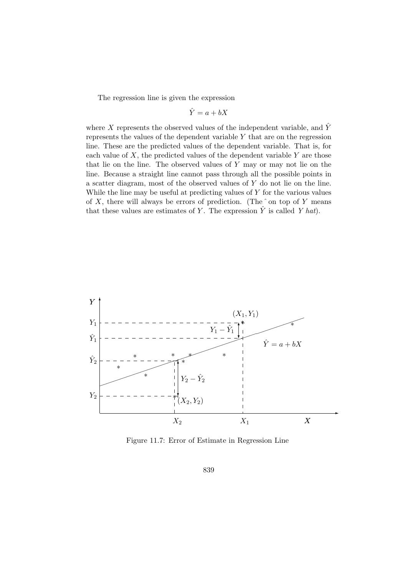The regression line is given the expression

$$
\hat{Y} = a + bX
$$

where X represents the observed values of the independent variable, and  $\hat{Y}$ represents the values of the dependent variable Y that are on the regression line. These are the predicted values of the dependent variable. That is, for each value of  $X$ , the predicted values of the dependent variable  $Y$  are those that lie on the line. The observed values of Y may or may not lie on the line. Because a straight line cannot pass through all the possible points in a scatter diagram, most of the observed values of Y do not lie on the line. While the line may be useful at predicting values of  $Y$  for the various values of X, there will always be errors of prediction. (The  $\hat{ }$  on top of Y means that these values are estimates of Y. The expression  $\tilde{Y}$  is called Y hat).



Figure 11.7: Error of Estimate in Regression Line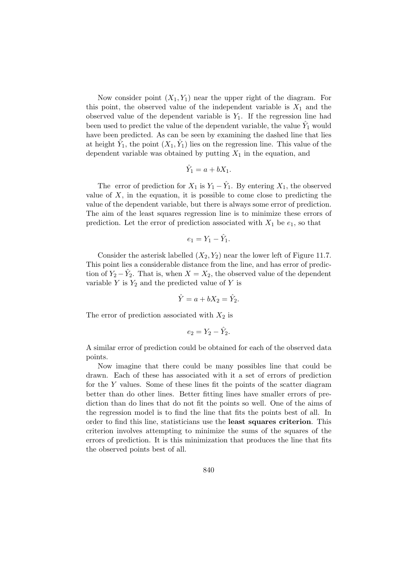Now consider point  $(X_1, Y_1)$  near the upper right of the diagram. For this point, the observed value of the independent variable is  $X_1$  and the observed value of the dependent variable is  $Y_1$ . If the regression line had been used to predict the value of the dependent variable, the value  $\hat{Y}_1$  would have been predicted. As can be seen by examining the dashed line that lies at height  $\hat{Y}_1$ , the point  $(X_1, \hat{Y}_1)$  lies on the regression line. This value of the dependent variable was obtained by putting  $X_1$  in the equation, and

$$
\hat{Y}_1 = a + bX_1.
$$

The error of prediction for  $X_1$  is  $Y_1 - \hat{Y}_1$ . By entering  $X_1$ , the observed value of  $X$ , in the equation, it is possible to come close to predicting the value of the dependent variable, but there is always some error of prediction. The aim of the least squares regression line is to minimize these errors of prediction. Let the error of prediction associated with  $X_1$  be  $e_1$ , so that

$$
e_1 = Y_1 - \hat{Y}_1.
$$

Consider the asterisk labelled  $(X_2, Y_2)$  near the lower left of Figure 11.7. This point lies a considerable distance from the line, and has error of prediction of  $Y_2 - \hat{Y}_2$ . That is, when  $X = X_2$ , the observed value of the dependent variable  $Y$  is  $Y_2$  and the predicted value of  $Y$  is

$$
\hat{Y} = a + bX_2 = \hat{Y}_2.
$$

The error of prediction associated with  $X_2$  is

$$
e_2 = Y_2 - \hat{Y}_2.
$$

A similar error of prediction could be obtained for each of the observed data points.

Now imagine that there could be many possibles line that could be drawn. Each of these has associated with it a set of errors of prediction for the Y values. Some of these lines fit the points of the scatter diagram better than do other lines. Better fitting lines have smaller errors of prediction than do lines that do not fit the points so well. One of the aims of the regression model is to find the line that fits the points best of all. In order to find this line, statisticians use the least squares criterion. This criterion involves attempting to minimize the sums of the squares of the errors of prediction. It is this minimization that produces the line that fits the observed points best of all.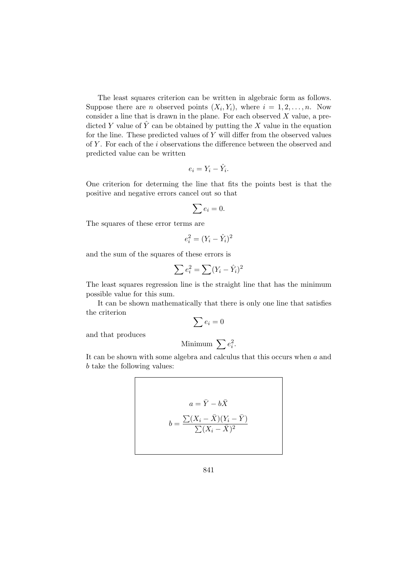The least squares criterion can be written in algebraic form as follows. Suppose there are *n* observed points  $(X_i, Y_i)$ , where  $i = 1, 2, ..., n$ . Now consider a line that is drawn in the plane. For each observed  $X$  value, a predicted Y value of  $\hat{Y}$  can be obtained by putting the X value in the equation for the line. These predicted values of  $Y$  will differ from the observed values of  $Y$ . For each of the  $i$  observations the difference between the observed and predicted value can be written

$$
e_i = Y_i - \hat{Y}_i.
$$

One criterion for determing the line that fits the points best is that the positive and negative errors cancel out so that

$$
\sum e_i = 0.
$$

The squares of these error terms are

$$
e_i^2 = (Y_i - \hat{Y}_i)^2
$$

and the sum of the squares of these errors is

$$
\sum e_i^2 = \sum (Y_i - \hat{Y}_i)^2
$$

The least squares regression line is the straight line that has the minimum possible value for this sum.

It can be shown mathematically that there is only one line that satisfies the criterion  $\sum e_i = 0$ 

and that produces

$$
Minimum \sum e_i^2
$$

.

It can be shown with some algebra and calculus that this occurs when  $a$  and b take the following values:

$$
a = \bar{Y} - b\bar{X}
$$

$$
b = \frac{\sum (X_i - \bar{X})(Y_i - \bar{Y})}{\sum (X_i - \bar{X})^2}
$$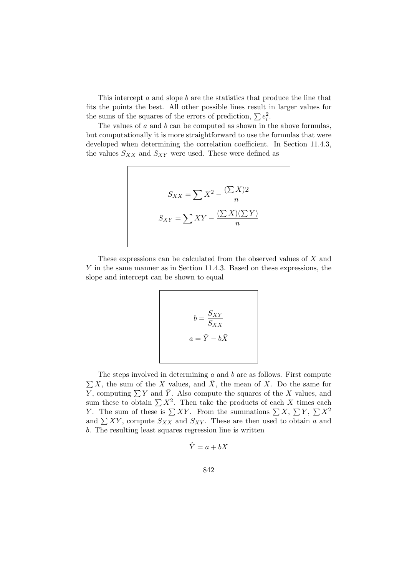This intercept a and slope b are the statistics that produce the line that fits the points the best. All other possible lines result in larger values for the sums of the squares of the errors of prediction,  $\sum e_i^2$ .

The values of  $a$  and  $b$  can be computed as shown in the above formulas, but computationally it is more straightforward to use the formulas that were developed when determining the correlation coefficient. In Section 11.4.3, the values  $S_{XX}$  and  $S_{XY}$  were used. These were defined as

$$
S_{XX} = \sum X^2 - \frac{(\sum X)2}{n}
$$

$$
S_{XY} = \sum XY - \frac{(\sum X)(\sum Y)}{n}
$$

These expressions can be calculated from the observed values of X and Y in the same manner as in Section 11.4.3. Based on these expressions, the slope and intercept can be shown to equal

$$
b = \frac{S_{XY}}{S_{XX}}
$$

$$
a = \bar{Y} - b\bar{X}
$$

The steps involved in determining  $a$  and  $b$  are as follows. First compute  $\sum X$ , the sum of the X values, and  $\bar{X}$ , the mean of X. Do the same for Y, computing  $\sum Y$  and  $\overline{Y}$ . Also compute the squares of the X values, and  $\sum Y$  and  $Y$ . Also compute the squares of the  $X$  values, and sum these to obtain  $\sum X^2$ . Then take the products of each  $X$  times each Fig. 7. The sum of these is  $\sum XY$ . From the summations  $\sum X$ ,  $\sum Y$ ,  $\sum X^2$ and  $\sum XY$ , compute  $S_{XX}$  and  $S_{XY}$ . These are then used to obtain a and b. The resulting least squares regression line is written

$$
\hat{Y} = a + bX
$$

$$
842\,
$$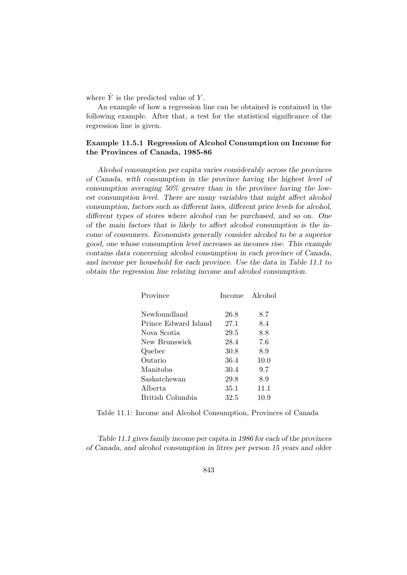where  $\hat{Y}$  is the predicted value of Y.

An example of how a regression line can be obtained is contained in the following example. After that, a test for the statistical significance of the regression line is given.

## Example 11.5.1 Regression of Alcohol Consumption on Income for the Provinces of Canada, 1985-86

Alcohol consumption per capita varies considerably across the provinces of Canada, with consumption in the province having the highest level of consumption averaging 50% greater than in the province having the lowest consumption level. There are many variables that might affect alcohol consumption, factors such as different laws, different price levels for alcohol, different types of stores where alcohol can be purchased, and so on. One of the main factors that is likely to affect alcohol consumption is the income of consumers. Economists generally consider alcohol to be a superior good, one whose consumption level increases as incomes rise. This example contains data concerning alcohol consumption in each province of Canada, and income per household for each province. Use the data in Table 11.1 to obtain the regression line relating income and alcohol consumption.

| Province             | Income | Alcohol |
|----------------------|--------|---------|
| Newfoundland         | 26.8   | 8.7     |
| Prince Edward Island | 27.1   | 8.4     |
| Nova Scotia          | 29.5   | 8.8     |
| New Brunswick        | 28.4   | 7.6     |
| Quebec               | 30.8   | 8.9     |
| Ontario              | 36.4   | 10.0    |
| Manitoba             | 30.4   | 9.7     |
| Saskatchewan         | 29.8   | 8.9     |
| Alberta              | 35.1   | 11.1    |
| British Columbia     | 32.5   | 10.9    |

Table 11.1: Income and Alcohol Consumption, Provinces of Canada

Table 11.1 gives family income per capita in 1986 for each of the provinces of Canada, and alcohol consumption in litres per person 15 years and older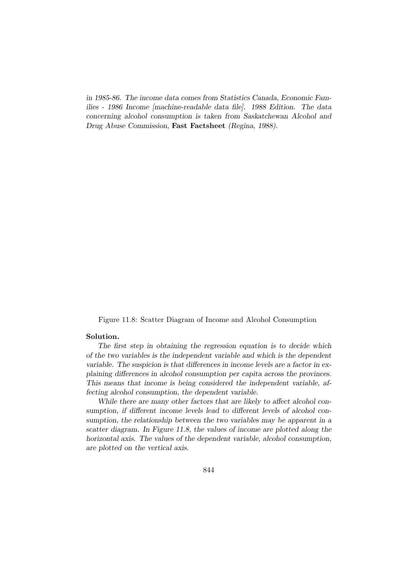in 1985-86. The income data comes from Statistics Canada, Economic Families - 1986 Income [machine-readable data file]. 1988 Edition. The data concerning alcohol consumption is taken from Saskatchewan Alcohol and Drug Abuse Commission, Fast Factsheet (Regina, 1988).

Figure 11.8: Scatter Diagram of Income and Alcohol Consumption

#### Solution.

The first step in obtaining the regression equation is to decide which of the two variables is the independent variable and which is the dependent variable. The suspicion is that differences in income levels are a factor in explaining differences in alcohol consumption per capita across the provinces. This means that income is being considered the independent variable, affecting alcohol consumption, the dependent variable.

While there are many other factors that are likely to affect alcohol consumption, if different income levels lead to different levels of alcohol consumption, the relationship between the two variables may be apparent in a scatter diagram. In Figure 11.8, the values of income are plotted along the horizontal axis. The values of the dependent variable, alcohol consumption, are plotted on the vertical axis.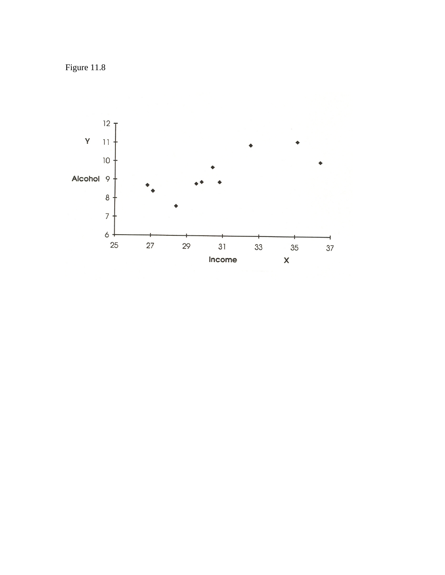Figure 11.8

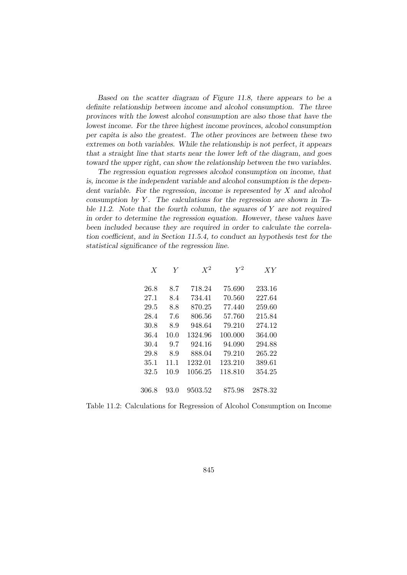Based on the scatter diagram of Figure 11.8, there appears to be a definite relationship between income and alcohol consumption. The three provinces with the lowest alcohol consumption are also those that have the lowest income. For the three highest income provinces, alcohol consumption per capita is also the greatest. The other provinces are between these two extremes on both variables. While the relationship is not perfect, it appears that a straight line that starts near the lower left of the diagram, and goes toward the upper right, can show the relationship between the two variables.

The regression equation regresses alcohol consumption on income, that is, income is the independent variable and alcohol consumption is the dependent variable. For the regression, income is represented by  $X$  and alcohol consumption by  $Y$ . The calculations for the regression are shown in Table 11.2. Note that the fourth column, the squares of  $Y$  are not required in order to determine the regression equation. However, these values have been included because they are required in order to calculate the correlation coefficient, and in Section 11.5.4, to conduct an hypothesis test for the statistical significance of the regression line.

| $\boldsymbol{X}$ | Y    | $X^2$   | $\,V^2$ | XY      |
|------------------|------|---------|---------|---------|
| 26.8             | 8.7  | 718.24  | 75.690  | 233.16  |
| 27.1             | 8.4  | 734.41  | 70.560  | 227.64  |
| 29.5             | 8.8  | 870.25  | 77.440  | 259.60  |
| 28.4             | 7.6  | 806.56  | 57.760  | 215.84  |
| 30.8             | 8.9  | 948.64  | 79.210  | 274.12  |
| 36.4             | 10.0 | 1324.96 | 100.000 | 364.00  |
| 30.4             | 9.7  | 924.16  | 94.090  | 294.88  |
| 29.8             | 8.9  | 888.04  | 79.210  | 265.22  |
| 35.1             | 11.1 | 1232.01 | 123.210 | 389.61  |
| 32.5             | 10.9 | 1056.25 | 118.810 | 354.25  |
|                  |      |         |         |         |
| 306.8            | 93.0 | 9503.52 | 875.98  | 2878.32 |

Table 11.2: Calculations for Regression of Alcohol Consumption on Income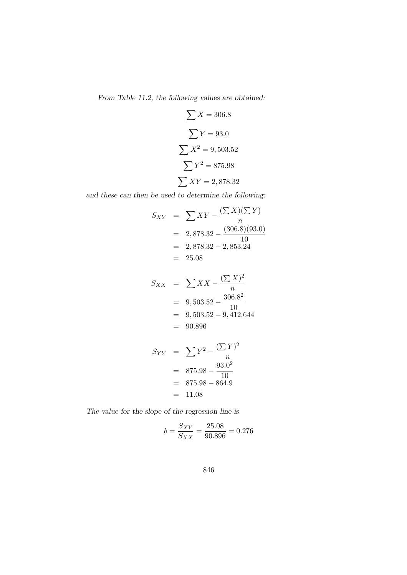From Table 11.2, the following values are obtained:

$$
\sum X = 306.8
$$

$$
\sum Y = 93.0
$$

$$
\sum X^2 = 9,503.52
$$

$$
\sum Y^2 = 875.98
$$

$$
\sum XY = 2,878.32
$$

and these can then be used to determine the following:

$$
S_{XY} = \sum XY - \frac{(\sum X)(\sum Y)}{n}
$$
  
= 2,878.32 -  $\frac{(306.8)(93.0)}{10}$   
= 2,878.32 - 2,853.24  
= 25.08

$$
S_{XX} = \sum XX - \frac{(\sum X)^2}{n}
$$
  
= 9,503.52 -  $\frac{306.8^2}{10}$   
= 9,503.52 - 9,412.644  
= 90.896

$$
S_{YY} = \sum Y^2 - \frac{(\sum Y)^2}{n}
$$
  
= 875.98 -  $\frac{93.0^2}{10}$   
= 875.98 - 864.9  
= 11.08

The value for the slope of the regression line is

$$
b = \frac{S_{XY}}{S_{XX}} = \frac{25.08}{90.896} = 0.276
$$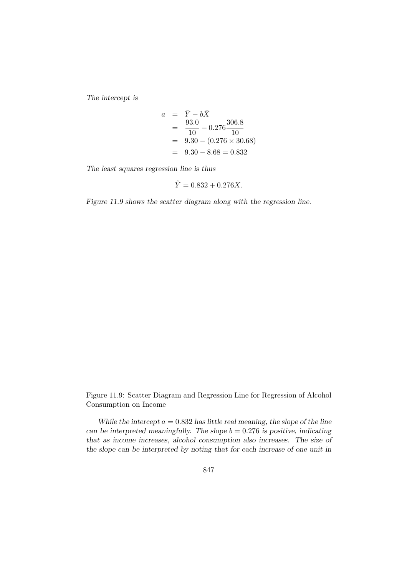The intercept is

$$
a = \overline{Y} - b\overline{X}
$$
  
= 
$$
\frac{93.0}{10} - 0.276 \frac{306.8}{10}
$$
  
= 
$$
9.30 - (0.276 \times 30.68)
$$
  
= 
$$
9.30 - 8.68 = 0.832
$$

The least squares regression line is thus

$$
\hat{Y} = 0.832 + 0.276X.
$$

Figure 11.9 shows the scatter diagram along with the regression line.

Figure 11.9: Scatter Diagram and Regression Line for Regression of Alcohol Consumption on Income

While the intercept  $a = 0.832$  has little real meaning, the slope of the line can be interpreted meaningfully. The slope  $b = 0.276$  is positive, indicating that as income increases, alcohol consumption also increases. The size of the slope can be interpreted by noting that for each increase of one unit in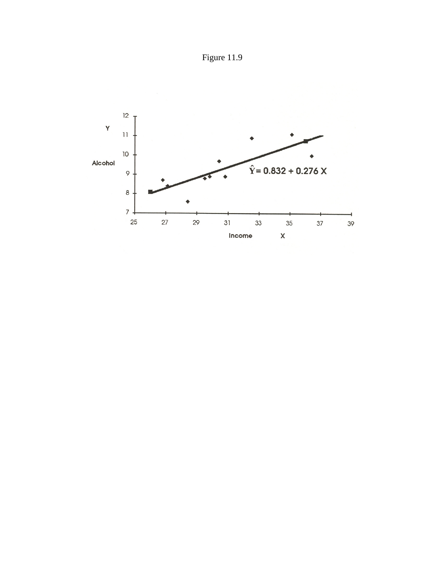

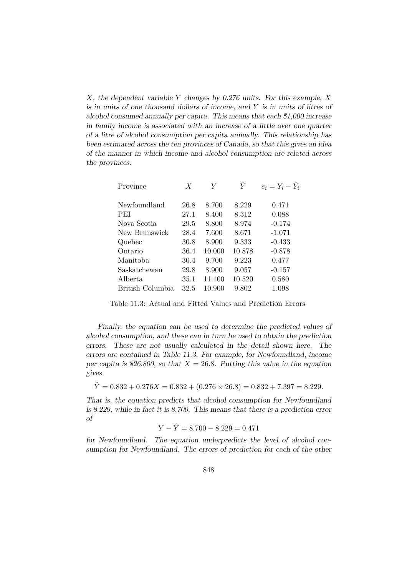X, the dependent variable Y changes by 0.276 units. For this example, X is in units of one thousand dollars of income, and Y is in units of litres of alcohol consumed annually per capita. This means that each \$1,000 increase in family income is associated with an increase of a little over one quarter of a litre of alcohol consumption per capita annually. This relationship has been estimated across the ten provinces of Canada, so that this gives an idea of the manner in which income and alcohol consumption are related across the provinces.

| $\boldsymbol{X}$ | Y      | Y      | $e_i = Y_i - Y_i$ |
|------------------|--------|--------|-------------------|
| 26.8             | 8.700  | 8.229  | 0.471             |
| 27.1             | 8.400  | 8.312  | 0.088             |
| 29.5             | 8.800  | 8.974  | $-0.174$          |
| 28.4             | 7.600  | 8.671  | $-1.071$          |
| 30.8             | 8.900  | 9.333  | $-0.433$          |
| 36.4             | 10.000 | 10.878 | $-0.878$          |
| 30.4             | 9.700  | 9.223  | 0.477             |
| 29.8             | 8.900  | 9.057  | $-0.157$          |
| 35.1             | 11.100 | 10.520 | 0.580             |
| 32.5             | 10.900 | 9.802  | 1.098             |
|                  |        |        |                   |

Table 11.3: Actual and Fitted Values and Prediction Errors

Finally, the equation can be used to determine the predicted values of alcohol consumption, and these can in turn be used to obtain the prediction errors. These are not usually calculated in the detail shown here. The errors are contained in Table 11.3. For example, for Newfoundland, income per capita is \$26,800, so that  $X = 26.8$ . Putting this value in the equation gives

 $\hat{Y} = 0.832 + 0.276X = 0.832 + (0.276 \times 26.8) = 0.832 + 7.397 = 8.229.$ 

That is, the equation predicts that alcohol consumption for Newfoundland is 8.229, while in fact it is 8.700. This means that there is a prediction error of

$$
Y - \hat{Y} = 8.700 - 8.229 = 0.471
$$

for Newfoundland. The equation underpredicts the level of alcohol consumption for Newfoundland. The errors of prediction for each of the other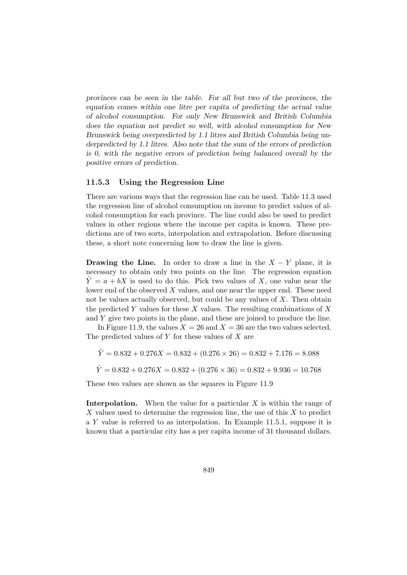provinces can be seen in the table. For all but two of the provinces, the equation comes within one litre per capita of predicting the actual value of alcohol consumption. For only New Brunswick and British Columbia does the equation not predict so well, with alcohol consumption for New Brunswick being overpredicted by 1.1 litres and British Columbia being underpredicted by 1.1 litres. Also note that the sum of the errors of prediction is 0, with the negative errors of prediction being balanced overall by the positive errors of prediction.

#### 11.5.3 Using the Regression Line

There are various ways that the regression line can be used. Table 11.3 used the regression line of alcohol consumption on income to predict values of alcohol consumption for each province. The line could also be used to predict values in other regions where the income per capita is known. These predictions are of two sorts, interpolation and extrapolation. Before discussing these, a short note concerning how to draw the line is given.

**Drawing the Line.** In order to draw a line in the  $X - Y$  plane, it is necessary to obtain only two points on the line. The regression equation  $\hat{Y} = a + bX$  is used to do this. Pick two values of X, one value near the lower end of the observed  $X$  values, and one near the upper end. These need not be values actually observed, but could be any values of  $X$ . Then obtain the predicted Y values for these X values. The resulting combinations of  $X$ and  $Y$  give two points in the plane, and these are joined to produce the line.

In Figure 11.9, the values  $X = 26$  and  $X = 36$  are the two values selected. The predicted values of  $Y$  for these values of  $X$  are

$$
\hat{Y} = 0.832 + 0.276X = 0.832 + (0.276 \times 26) = 0.832 + 7.176 = 8.088
$$

$$
\hat{Y} = 0.832 + 0.276X = 0.832 + (0.276 \times 36) = 0.832 + 9.936 = 10.768
$$

These two values are shown as the squares in Figure 11.9

**Interpolation.** When the value for a particular  $X$  is within the range of  $X$  values used to determine the regression line, the use of this  $X$  to predict a Y value is referred to as interpolation. In Example 11.5.1, suppose it is known that a particular city has a per capita income of 31 thousand dollars.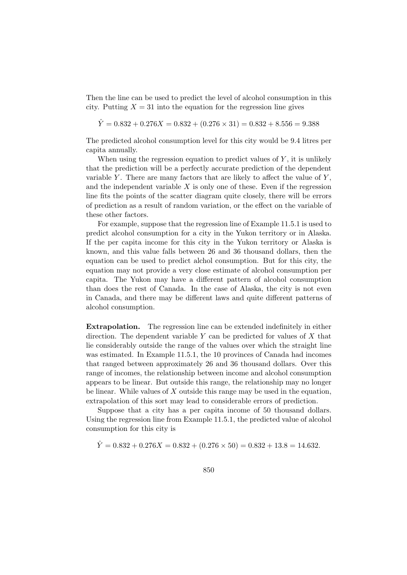Then the line can be used to predict the level of alcohol consumption in this city. Putting  $X = 31$  into the equation for the regression line gives

 $\hat{Y} = 0.832 + 0.276X = 0.832 + (0.276 \times 31) = 0.832 + 8.556 = 9.388$ 

The predicted alcohol consumption level for this city would be 9.4 litres per capita annually.

When using the regression equation to predict values of  $Y$ , it is unlikely that the prediction will be a perfectly accurate prediction of the dependent variable Y. There are many factors that are likely to affect the value of  $Y$ , and the independent variable  $X$  is only one of these. Even if the regression line fits the points of the scatter diagram quite closely, there will be errors of prediction as a result of random variation, or the effect on the variable of these other factors.

For example, suppose that the regression line of Example 11.5.1 is used to predict alcohol consumption for a city in the Yukon territory or in Alaska. If the per capita income for this city in the Yukon territory or Alaska is known, and this value falls between 26 and 36 thousand dollars, then the equation can be used to predict alchol consumption. But for this city, the equation may not provide a very close estimate of alcohol consumption per capita. The Yukon may have a different pattern of alcohol consumption than does the rest of Canada. In the case of Alaska, the city is not even in Canada, and there may be different laws and quite different patterns of alcohol consumption.

Extrapolation. The regression line can be extended indefinitely in either direction. The dependent variable  $Y$  can be predicted for values of  $X$  that lie considerably outside the range of the values over which the straight line was estimated. In Example 11.5.1, the 10 provinces of Canada had incomes that ranged between approximately 26 and 36 thousand dollars. Over this range of incomes, the relationship between income and alcohol consumption appears to be linear. But outside this range, the relationship may no longer be linear. While values of  $X$  outside this range may be used in the equation, extrapolation of this sort may lead to considerable errors of prediction.

Suppose that a city has a per capita income of 50 thousand dollars. Using the regression line from Example 11.5.1, the predicted value of alcohol consumption for this city is

 $\hat{Y} = 0.832 + 0.276X = 0.832 + (0.276 \times 50) = 0.832 + 13.8 = 14.632.$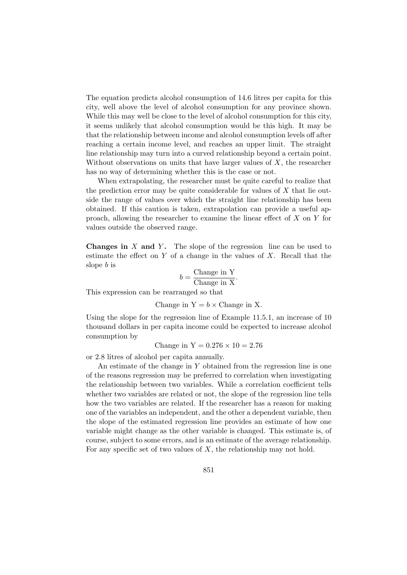The equation predicts alcohol consumption of 14.6 litres per capita for this city, well above the level of alcohol consumption for any province shown. While this may well be close to the level of alcohol consumption for this city, it seems unlikely that alcohol consumption would be this high. It may be that the relationship between income and alcohol consumption levels off after reaching a certain income level, and reaches an upper limit. The straight line relationship may turn into a curved relationship beyond a certain point. Without observations on units that have larger values of  $X$ , the researcher has no way of determining whether this is the case or not.

When extrapolating, the researcher must be quite careful to realize that the prediction error may be quite considerable for values of  $X$  that lie outside the range of values over which the straight line relationship has been obtained. If this caution is taken, extrapolation can provide a useful approach, allowing the researcher to examine the linear effect of X on Y for values outside the observed range.

**Changes in**  $X$  and  $Y$ . The slope of the regression line can be used to estimate the effect on  $Y$  of a change in the values of  $X$ . Recall that the slope b is

$$
b = \frac{\text{Change in Y}}{\text{Change in X}}.
$$

This expression can be rearranged so that

Change in  $Y = b \times$  Change in X.

Using the slope for the regression line of Example 11.5.1, an increase of 10 thousand dollars in per capita income could be expected to increase alcohol consumption by

Change in  $Y = 0.276 \times 10 = 2.76$ 

or 2.8 litres of alcohol per capita annually.

An estimate of the change in Y obtained from the regression line is one of the reasons regression may be preferred to correlation when investigating the relationship between two variables. While a correlation coefficient tells whether two variables are related or not, the slope of the regression line tells how the two variables are related. If the researcher has a reason for making one of the variables an independent, and the other a dependent variable, then the slope of the estimated regression line provides an estimate of how one variable might change as the other variable is changed. This estimate is, of course, subject to some errors, and is an estimate of the average relationship. For any specific set of two values of  $X$ , the relationship may not hold.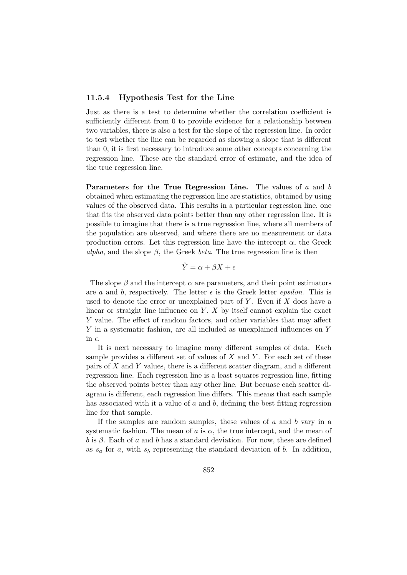#### 11.5.4 Hypothesis Test for the Line

Just as there is a test to determine whether the correlation coefficient is sufficiently different from 0 to provide evidence for a relationship between two variables, there is also a test for the slope of the regression line. In order to test whether the line can be regarded as showing a slope that is different than 0, it is first necessary to introduce some other concepts concerning the regression line. These are the standard error of estimate, and the idea of the true regression line.

**Parameters for the True Regression Line.** The values of  $a$  and  $b$ obtained when estimating the regression line are statistics, obtained by using values of the observed data. This results in a particular regression line, one that fits the observed data points better than any other regression line. It is possible to imagine that there is a true regression line, where all members of the population are observed, and where there are no measurement or data production errors. Let this regression line have the intercept  $\alpha$ , the Greek alpha, and the slope  $\beta$ , the Greek beta. The true regression line is then

$$
\hat{Y} = \alpha + \beta X + \epsilon
$$

The slope  $\beta$  and the intercept  $\alpha$  are parameters, and their point estimators are a and b, respectively. The letter  $\epsilon$  is the Greek letter *epsilon*. This is used to denote the error or unexplained part of  $Y$ . Even if  $X$  does have a linear or straight line influence on  $Y$ ,  $X$  by itself cannot explain the exact Y value. The effect of random factors, and other variables that may affect Y in a systematic fashion, are all included as unexplained influences on Y in  $\epsilon$ .

It is next necessary to imagine many different samples of data. Each sample provides a different set of values of  $X$  and  $Y$ . For each set of these pairs of X and Y values, there is a different scatter diagram, and a different regression line. Each regression line is a least squares regression line, fitting the observed points better than any other line. But becuase each scatter diagram is different, each regression line differs. This means that each sample has associated with it a value of  $a$  and  $b$ , defining the best fitting regression line for that sample.

If the samples are random samples, these values of  $a$  and  $b$  vary in a systematic fashion. The mean of a is  $\alpha$ , the true intercept, and the mean of b is  $\beta$ . Each of a and b has a standard deviation. For now, these are defined as  $s_a$  for a, with  $s_b$  representing the standard deviation of b. In addition,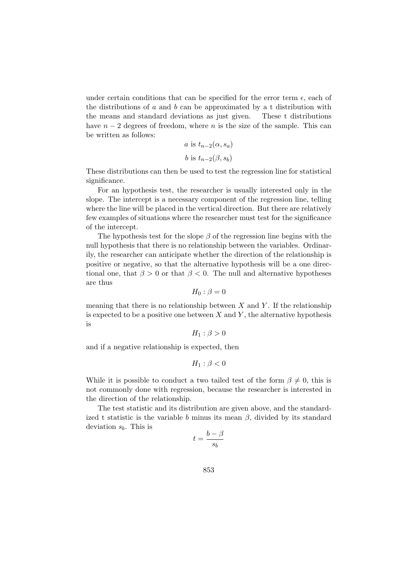under certain conditions that can be specified for the error term  $\epsilon$ , each of the distributions of  $a$  and  $b$  can be approximated by a t distribution with the means and standard deviations as just given. These t distributions have  $n-2$  degrees of freedom, where n is the size of the sample. This can be written as follows:

$$
a \text{ is } t_{n-2}(\alpha, s_a)
$$
  

$$
b \text{ is } t_{n-2}(\beta, s_b)
$$

These distributions can then be used to test the regression line for statistical significance.

For an hypothesis test, the researcher is usually interested only in the slope. The intercept is a necessary component of the regression line, telling where the line will be placed in the vertical direction. But there are relatively few examples of situations where the researcher must test for the significance of the intercept.

The hypothesis test for the slope  $\beta$  of the regression line begins with the null hypothesis that there is no relationship between the variables. Ordinarily, the researcher can anticipate whether the direction of the relationship is positive or negative, so that the alternative hypothesis will be a one directional one, that  $\beta > 0$  or that  $\beta < 0$ . The null and alternative hypotheses are thus

$$
H_0: \beta = 0
$$

meaning that there is no relationship between  $X$  and  $Y$ . If the relationship is expected to be a positive one between  $X$  and  $Y$ , the alternative hypothesis is

$$
H_1: \beta > 0
$$

and if a negative relationship is expected, then

$$
H_1: \beta < 0
$$

While it is possible to conduct a two tailed test of the form  $\beta \neq 0$ , this is not commonly done with regression, because the researcher is interested in the direction of the relationship.

The test statistic and its distribution are given above, and the standardized t statistic is the variable b minus its mean  $\beta$ , divided by its standard deviation  $s<sub>b</sub>$ . This is

$$
t = \frac{b - \beta}{s_b}
$$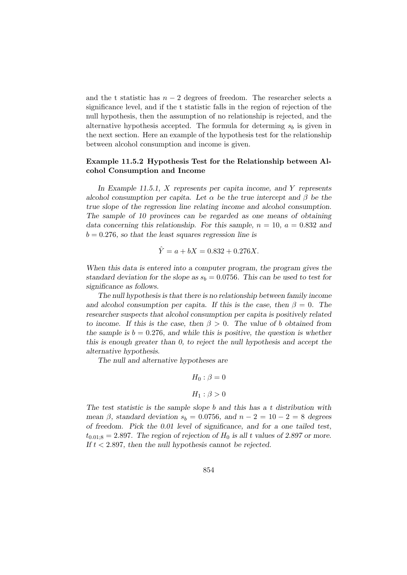and the t statistic has  $n-2$  degrees of freedom. The researcher selects a significance level, and if the t statistic falls in the region of rejection of the null hypothesis, then the assumption of no relationship is rejected, and the alternative hypothesis accepted. The formula for determing  $s<sub>b</sub>$  is given in the next section. Here an example of the hypothesis test for the relationship between alcohol consumption and income is given.

## Example 11.5.2 Hypothesis Test for the Relationship between Alcohol Consumption and Income

In Example 11.5.1, X represents per capita income, and Y represents alcohol consumption per capita. Let  $\alpha$  be the true intercept and  $\beta$  be the true slope of the regression line relating income and alcohol consumption. The sample of 10 provinces can be regarded as one means of obtaining data concerning this relationship. For this sample,  $n = 10$ ,  $a = 0.832$  and  $b = 0.276$ , so that the least squares regression line is

$$
\hat{Y} = a + bX = 0.832 + 0.276X.
$$

When this data is entered into a computer program, the program gives the standard deviation for the slope as  $s_b = 0.0756$ . This can be used to test for significance as follows.

The null hypothesis is that there is no relationship between family income and alcohol consumption per capita. If this is the case, then  $\beta = 0$ . The researcher suspects that alcohol consumption per capita is positively related to income. If this is the case, then  $\beta > 0$ . The value of b obtained from the sample is  $b = 0.276$ , and while this is positive, the question is whether this is enough greater than 0, to reject the null hypothesis and accept the alternative hypothesis.

The null and alternative hypotheses are

$$
H_0: \beta = 0
$$

$$
H_1: \beta > 0
$$

The test statistic is the sample slope b and this has a t distribution with mean  $\beta$ , standard deviation  $s_b = 0.0756$ , and  $n - 2 = 10 - 2 = 8$  degrees of freedom. Pick the 0.01 level of significance, and for a one tailed test,  $t_{0.01:8} = 2.897$ . The region of rejection of  $H_0$  is all t values of 2.897 or more. If  $t < 2.897$ , then the null hypothesis cannot be rejected.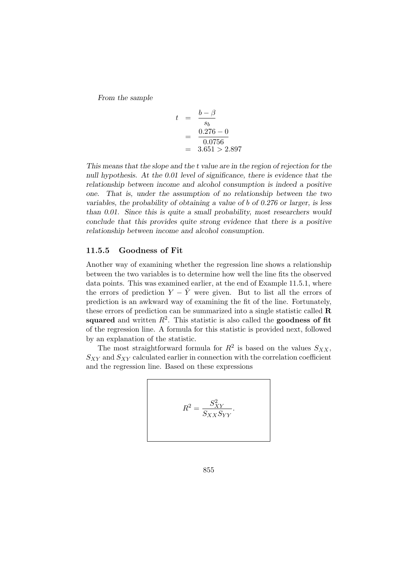From the sample

$$
t = \frac{b - \beta}{s_b}
$$
  
= 
$$
\frac{0.276 - 0}{0.0756}
$$
  
= 3.651 > 2.897

This means that the slope and the t value are in the region of rejection for the null hypothesis. At the 0.01 level of significance, there is evidence that the relationship between income and alcohol consumption is indeed a positive one. That is, under the assumption of no relationship between the two variables, the probability of obtaining a value of b of 0.276 or larger, is less than 0.01. Since this is quite a small probability, most researchers would conclude that this provides quite strong evidence that there is a positive relationship between income and alcohol consumption.

#### 11.5.5 Goodness of Fit

Another way of examining whether the regression line shows a relationship between the two variables is to determine how well the line fits the observed data points. This was examined earlier, at the end of Example 11.5.1, where the errors of prediction  $Y - \hat{Y}$  were given. But to list all the errors of prediction is an awkward way of examining the fit of the line. Fortunately, these errors of prediction can be summarized into a single statistic called R squared and written  $R^2$ . This statistic is also called the goodness of fit of the regression line. A formula for this statistic is provided next, followed by an explanation of the statistic.

The most straightforward formula for  $R^2$  is based on the values  $S_{XX}$ ,  $S_{XY}$  and  $S_{XY}$  calculated earlier in connection with the correlation coefficient and the regression line. Based on these expressions

$$
R^2 = \frac{S_{XY}^2}{S_{XX}S_{YY}}.
$$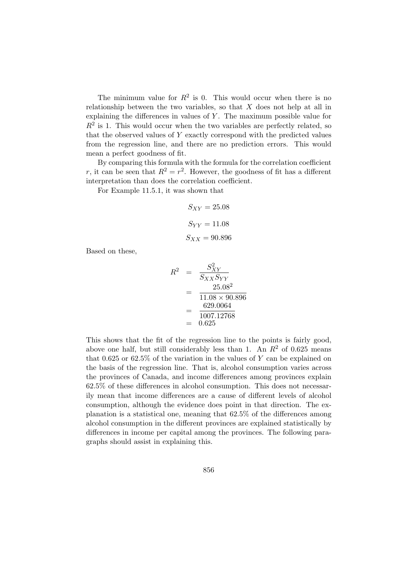The minimum value for  $R^2$  is 0. This would occur when there is no relationship between the two variables, so that  $X$  does not help at all in explaining the differences in values of Y . The maximum possible value for  $R<sup>2</sup>$  is 1. This would occur when the two variables are perfectly related, so that the observed values of Y exactly correspond with the predicted values from the regression line, and there are no prediction errors. This would mean a perfect goodness of fit.

By comparing this formula with the formula for the correlation coefficient r, it can be seen that  $R^2 = r^2$ . However, the goodness of fit has a different interpretation than does the correlation coefficient.

For Example 11.5.1, it was shown that

$$
S_{XY} = 25.08
$$

$$
S_{YY} = 11.08
$$

$$
S_{XX} = 90.896
$$

Based on these,

$$
R^{2} = \frac{S_{XY}^{2}}{S_{XX}S_{YY}} = \frac{25.08^{2}}{11.08 \times 90.896} = \frac{629.0064}{1007.12768} = 0.625
$$

This shows that the fit of the regression line to the points is fairly good, above one half, but still considerably less than 1. An  $R^2$  of 0.625 means that 0.625 or 62.5% of the variation in the values of  $Y$  can be explained on the basis of the regression line. That is, alcohol consumption varies across the provinces of Canada, and income differences among provinces explain 62.5% of these differences in alcohol consumption. This does not necessarily mean that income differences are a cause of different levels of alcohol consumption, although the evidence does point in that direction. The explanation is a statistical one, meaning that 62.5% of the differences among alcohol consumption in the different provinces are explained statistically by differences in income per capital among the provinces. The following paragraphs should assist in explaining this.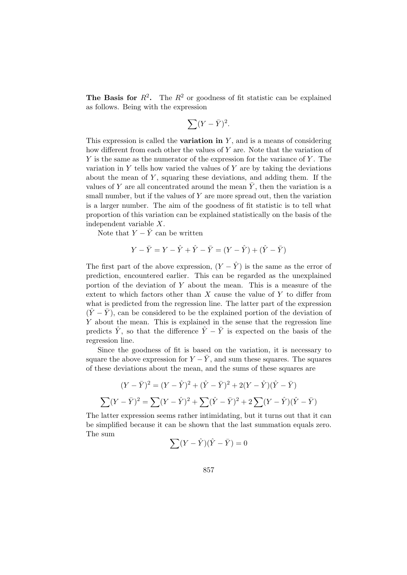**The Basis for**  $R^2$ . The  $R^2$  or goodness of fit statistic can be explained as follows. Being with the expression

$$
\sum (Y - \bar{Y})^2.
$$

This expression is called the **variation in**  $Y$ , and is a means of considering how different from each other the values of Y are. Note that the variation of  $Y$  is the same as the numerator of the expression for the variance of  $Y$ . The variation in  $Y$  tells how varied the values of  $Y$  are by taking the deviations about the mean of  $Y$ , squaring these deviations, and adding them. If the values of Y are all concentrated around the mean  $\overline{Y}$ , then the variation is a small number, but if the values of  $Y$  are more spread out, then the variation is a larger number. The aim of the goodness of fit statistic is to tell what proportion of this variation can be explained statistically on the basis of the independent variable X.

Note that  $Y - \bar{Y}$  can be written

$$
Y - \bar{Y} = Y - \hat{Y} + \hat{Y} - \bar{Y} = (Y - \hat{Y}) + (\hat{Y} - \bar{Y})
$$

The first part of the above expression,  $(Y - \hat{Y})$  is the same as the error of prediction, encountered earlier. This can be regarded as the unexplained portion of the deviation of  $Y$  about the mean. This is a measure of the extent to which factors other than  $X$  cause the value of  $Y$  to differ from what is predicted from the regression line. The latter part of the expression  $(\hat{Y} - \bar{Y})$ , can be considered to be the explained portion of the deviation of Y about the mean. This is explained in the sense that the regression line predicts  $\hat{Y}$ , so that the difference  $\hat{Y} - \bar{Y}$  is expected on the basis of the regression line.

Since the goodness of fit is based on the variation, it is necessary to square the above expression for  $Y - \overline{Y}$ , and sum these squares. The squares of these deviations about the mean, and the sums of these squares are

$$
(Y - \bar{Y})^2 = (Y - \hat{Y})^2 + (\hat{Y} - \bar{Y})^2 + 2(Y - \hat{Y})(\hat{Y} - \bar{Y})
$$

$$
\sum (Y - \bar{Y})^2 = \sum (Y - \hat{Y})^2 + \sum (\hat{Y} - \bar{Y})^2 + 2\sum (Y - \hat{Y})(\hat{Y} - \bar{Y})
$$

The latter expression seems rather intimidating, but it turns out that it can be simplified because it can be shown that the last summation equals zero. The sum

$$
\sum (Y - \hat{Y})(\hat{Y} - \bar{Y}) = 0
$$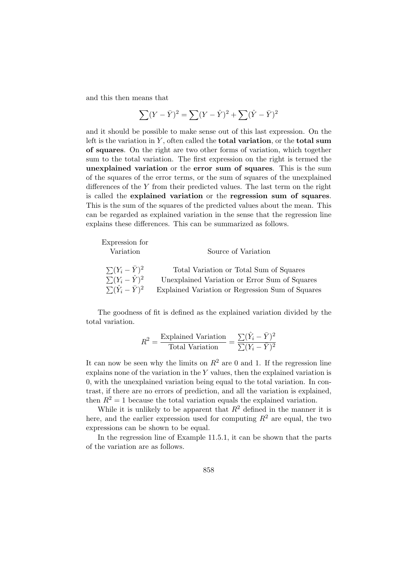and this then means that

$$
\sum (Y - \bar{Y})^2 = \sum (Y - \hat{Y})^2 + \sum (\hat{Y} - \bar{Y})^2
$$

and it should be possible to make sense out of this last expression. On the left is the variation in  $Y$ , often called the **total variation**, or the **total sum** of squares. On the right are two other forms of variation, which together sum to the total variation. The first expression on the right is termed the unexplained variation or the error sum of squares. This is the sum of the squares of the error terms, or the sum of squares of the unexplained differences of the Y from their predicted values. The last term on the right is called the explained variation or the regression sum of squares. This is the sum of the squares of the predicted values about the mean. This can be regarded as explained variation in the sense that the regression line explains these differences. This can be summarized as follows.

| Expression for                 |                                                  |
|--------------------------------|--------------------------------------------------|
| Variation                      | Source of Variation                              |
|                                |                                                  |
| $\sum (Y_i - \bar{Y})^2$       | Total Variation or Total Sum of Squares          |
| $\sum (Y_i - \hat{Y})^2$       | Unexplained Variation or Error Sum of Squares    |
| $\sum (\hat{Y}_i - \bar{Y})^2$ | Explained Variation or Regression Sum of Squares |

The goodness of fit is defined as the explained variation divided by the total variation.

$$
R^{2} = \frac{\text{Explained Variation}}{\text{Total Variation}} = \frac{\sum (\hat{Y}_{i} - \bar{Y})^{2}}{\sum (Y_{i} - \bar{Y})^{2}}
$$

It can now be seen why the limits on  $R^2$  are 0 and 1. If the regression line explains none of the variation in the Y values, then the explained variation is 0, with the unexplained variation being equal to the total variation. In contrast, if there are no errors of prediction, and all the variation is explained, then  $R^2 = 1$  because the total variation equals the explained variation.

While it is unlikely to be apparent that  $R^2$  defined in the manner it is here, and the earlier expression used for computing  $R^2$  are equal, the two expressions can be shown to be equal.

In the regression line of Example 11.5.1, it can be shown that the parts of the variation are as follows.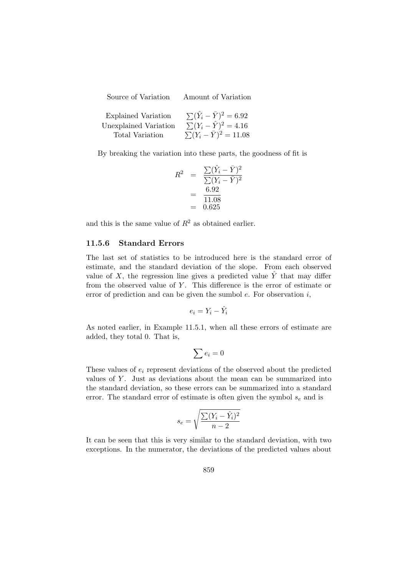| Source of Variation        | Amount of Variation                   |
|----------------------------|---------------------------------------|
| <b>Explained Variation</b> | $\sum (\hat{Y}_i - \bar{Y})^2 = 6.92$ |
| Unexplained Variation      | $\sum (Y_i - \hat{Y})^2 = 4.16$       |

Total Variation  $\sum (Y_i - \bar{Y})^2 = 11.08$ 

By breaking the variation into these parts, the goodness of fit is

$$
R^{2} = \frac{\sum (\hat{Y}_{i} - \bar{Y})^{2}}{\sum (Y_{i} - \bar{Y})^{2}}
$$
  
=  $\frac{6.92}{11.08}$   
= 0.625

and this is the same value of  $R^2$  as obtained earlier.

#### 11.5.6 Standard Errors

The last set of statistics to be introduced here is the standard error of estimate, and the standard deviation of the slope. From each observed value of  $X$ , the regression line gives a predicted value  $Y$  that may differ from the observed value of  $Y$ . This difference is the error of estimate or error of prediction and can be given the sumbol  $e$ . For observation  $i$ ,

$$
e_i = Y_i - \hat{Y}_i
$$

As noted earlier, in Example 11.5.1, when all these errors of estimate are added, they total 0. That is,

$$
\sum e_i = 0
$$

These values of  $e_i$  represent deviations of the observed about the predicted values of  $Y$ . Just as deviations about the mean can be summarized into the standard deviation, so these errors can be summarized into a standard error. The standard error of estimate is often given the symbol  $s_e$  and is

$$
s_e = \sqrt{\frac{\sum (Y_i - \hat{Y}_i)^2}{n-2}}
$$

It can be seen that this is very similar to the standard deviation, with two exceptions. In the numerator, the deviations of the predicted values about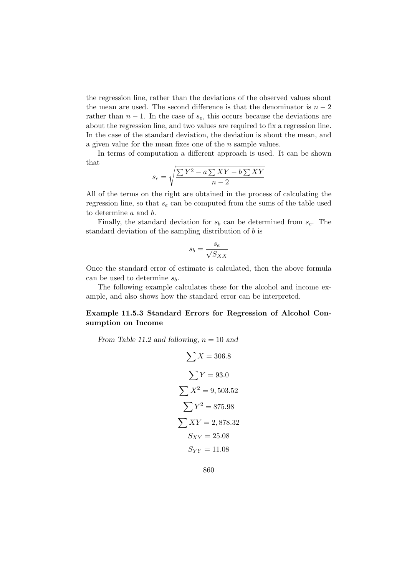the regression line, rather than the deviations of the observed values about the mean are used. The second difference is that the denominator is  $n-2$ rather than  $n-1$ . In the case of  $s_e$ , this occurs because the deviations are about the regression line, and two values are required to fix a regression line. In the case of the standard deviation, the deviation is about the mean, and a given value for the mean fixes one of the n sample values.

In terms of computation a different approach is used. It can be shown that

$$
s_e = \sqrt{\frac{\sum Y^2 - a \sum XY - b \sum XY}{n - 2}}
$$

All of the terms on the right are obtained in the process of calculating the regression line, so that  $s_e$  can be computed from the sums of the table used to determine a and b.

Finally, the standard deviation for  $s_b$  can be determined from  $s_e$ . The standard deviation of the sampling distribution of b is

$$
s_b = \frac{s_e}{\sqrt{S_{XX}}}
$$

Once the standard error of estimate is calculated, then the above formula can be used to determine  $s_b$ .

The following example calculates these for the alcohol and income example, and also shows how the standard error can be interpreted.

## Example 11.5.3 Standard Errors for Regression of Alcohol Consumption on Income

From Table 11.2 and following,  $n = 10$  and

$$
\sum X = 306.8
$$
  

$$
\sum Y = 93.0
$$
  

$$
\sum X^2 = 9,503.52
$$
  

$$
\sum Y^2 = 875.98
$$
  

$$
\sum XY = 2,878.32
$$
  

$$
S_{XY} = 25.08
$$
  

$$
S_{YY} = 11.08
$$

860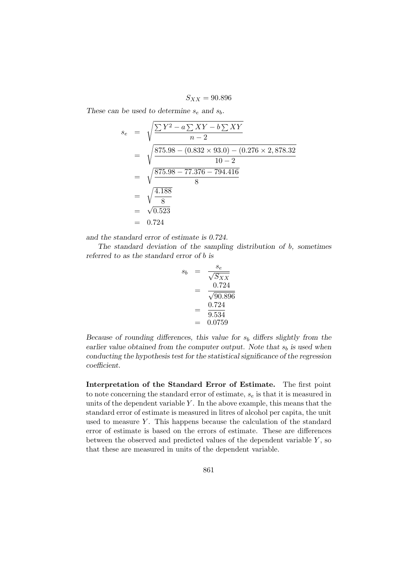$S_{XX} = 90.896$ 

These can be used to determine  $s_e$  and  $s_b$ .

$$
s_e = \sqrt{\frac{\sum Y^2 - a \sum XY - b \sum XY}{n-2}}
$$
  
=  $\sqrt{\frac{875.98 - (0.832 \times 93.0) - (0.276 \times 2,878.32)}{10-2}}$   
=  $\sqrt{\frac{875.98 - 77.376 - 794.416}{8}}$   
=  $\sqrt{\frac{4.188}{8}}$   
=  $\sqrt{0.523}$   
= 0.724

and the standard error of estimate is 0.724.

The standard deviation of the sampling distribution of b, sometimes referred to as the standard error of b is

$$
s_b = \frac{s_e}{\sqrt{S_{XX}}} = \frac{0.724}{\sqrt{90.896}} = \frac{0.724}{9.534} = 0.0759
$$

Because of rounding differences, this value for  $s<sub>b</sub>$  differs slightly from the earlier value obtained from the computer output. Note that  $s_b$  is used when conducting the hypothesis test for the statistical significance of the regression coefficient.

Interpretation of the Standard Error of Estimate. The first point to note concerning the standard error of estimate,  $s_e$  is that it is measured in units of the dependent variable  $Y$ . In the above example, this means that the standard error of estimate is measured in litres of alcohol per capita, the unit used to measure  $Y$ . This happens because the calculation of the standard error of estimate is based on the errors of estimate. These are differences between the observed and predicted values of the dependent variable  $Y$ , so that these are measured in units of the dependent variable.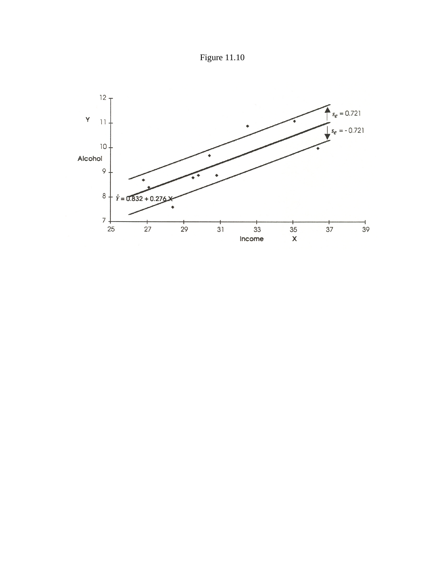Figure 11.10

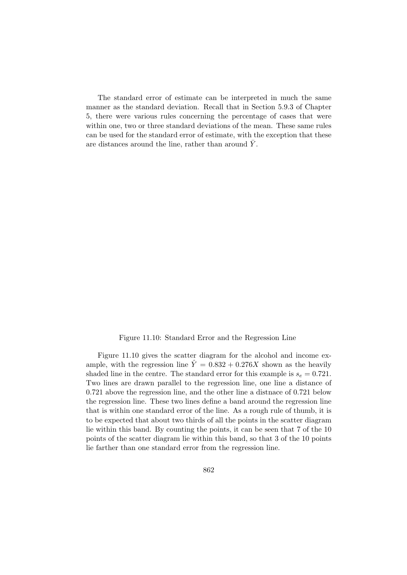The standard error of estimate can be interpreted in much the same manner as the standard deviation. Recall that in Section 5.9.3 of Chapter 5, there were various rules concerning the percentage of cases that were within one, two or three standard deviations of the mean. These same rules can be used for the standard error of estimate, with the exception that these are distances around the line, rather than around  $Y$ .

Figure 11.10: Standard Error and the Regression Line

Figure 11.10 gives the scatter diagram for the alcohol and income example, with the regression line  $\hat{Y} = 0.832 + 0.276X$  shown as the heavily shaded line in the centre. The standard error for this example is  $s_e = 0.721$ . Two lines are drawn parallel to the regression line, one line a distance of 0.721 above the regression line, and the other line a distnace of 0.721 below the regression line. These two lines define a band around the regression line that is within one standard error of the line. As a rough rule of thumb, it is to be expected that about two thirds of all the points in the scatter diagram lie within this band. By counting the points, it can be seen that 7 of the 10 points of the scatter diagram lie within this band, so that 3 of the 10 points lie farther than one standard error from the regression line.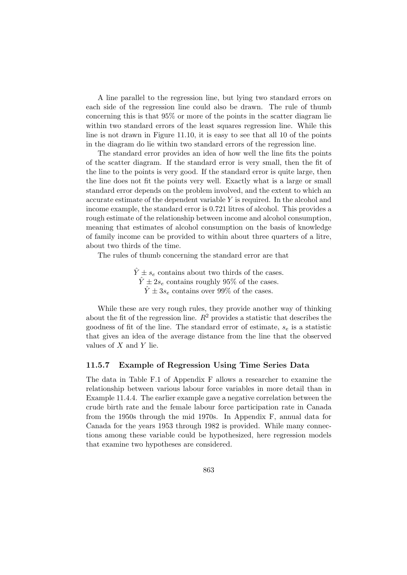A line parallel to the regression line, but lying two standard errors on each side of the regression line could also be drawn. The rule of thumb concerning this is that 95% or more of the points in the scatter diagram lie within two standard errors of the least squares regression line. While this line is not drawn in Figure 11.10, it is easy to see that all 10 of the points in the diagram do lie within two standard errors of the regression line.

The standard error provides an idea of how well the line fits the points of the scatter diagram. If the standard error is very small, then the fit of the line to the points is very good. If the standard error is quite large, then the line does not fit the points very well. Exactly what is a large or small standard error depends on the problem involved, and the extent to which an accurate estimate of the dependent variable Y is required. In the alcohol and income example, the standard error is 0.721 litres of alcohol. This provides a rough estimate of the relationship between income and alcohol consumption, meaning that estimates of alcohol consumption on the basis of knowledge of family income can be provided to within about three quarters of a litre, about two thirds of the time.

The rules of thumb concerning the standard error are that

 $\hat{Y} \pm s_e$  contains about two thirds of the cases.  $\hat{Y} \pm 2s_e$  contains roughly 95% of the cases.  $\hat{Y} \pm 3s_e$  contains over 99% of the cases.

While these are very rough rules, they provide another way of thinking about the fit of the regression line.  $R^2$  provides a statistic that describes the goodness of fit of the line. The standard error of estimate,  $s_e$  is a statistic that gives an idea of the average distance from the line that the observed values of  $X$  and  $Y$  lie.

#### 11.5.7 Example of Regression Using Time Series Data

The data in Table F.1 of Appendix F allows a researcher to examine the relationship between various labour force variables in more detail than in Example 11.4.4. The earlier example gave a negative correlation between the crude birth rate and the female labour force participation rate in Canada from the 1950s through the mid 1970s. In Appendix F, annual data for Canada for the years 1953 through 1982 is provided. While many connections among these variable could be hypothesized, here regression models that examine two hypotheses are considered.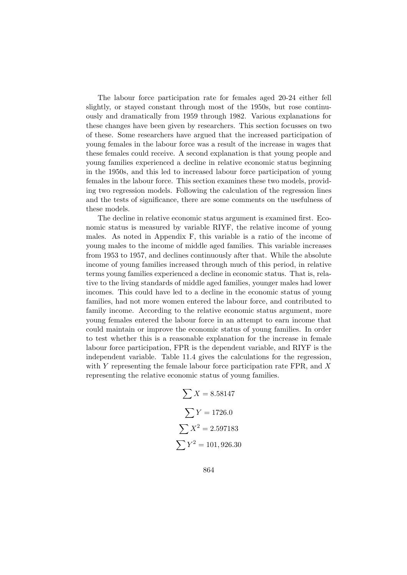The labour force participation rate for females aged 20-24 either fell slightly, or stayed constant through most of the 1950s, but rose continuously and dramatically from 1959 through 1982. Various explanations for these changes have been given by researchers. This section focusses on two of these. Some researchers have argued that the increased participation of young females in the labour force was a result of the increase in wages that these females could receive. A second explanation is that young people and young families experienced a decline in relative economic status beginning in the 1950s, and this led to increased labour force participation of young females in the labour force. This section examines these two models, providing two regression models. Following the calculation of the regression lines and the tests of significance, there are some comments on the usefulness of these models.

The decline in relative economic status argument is examined first. Economic status is measured by variable RIYF, the relative income of young males. As noted in Appendix F, this variable is a ratio of the income of young males to the income of middle aged families. This variable increases from 1953 to 1957, and declines continuously after that. While the absolute income of young families increased through much of this period, in relative terms young families experienced a decline in economic status. That is, relative to the living standards of middle aged families, younger males had lower incomes. This could have led to a decline in the economic status of young families, had not more women entered the labour force, and contributed to family income. According to the relative economic status argument, more young females entered the labour force in an attempt to earn income that could maintain or improve the economic status of young families. In order to test whether this is a reasonable explanation for the increase in female labour force participation, FPR is the dependent variable, and RIYF is the independent variable. Table 11.4 gives the calculations for the regression, with Y representing the female labour force participation rate FPR, and X representing the relative economic status of young families.

$$
\sum X = 8.58147
$$

$$
\sum Y = 1726.0
$$

$$
\sum X^2 = 2.597183
$$

$$
\sum Y^2 = 101,926.30
$$

864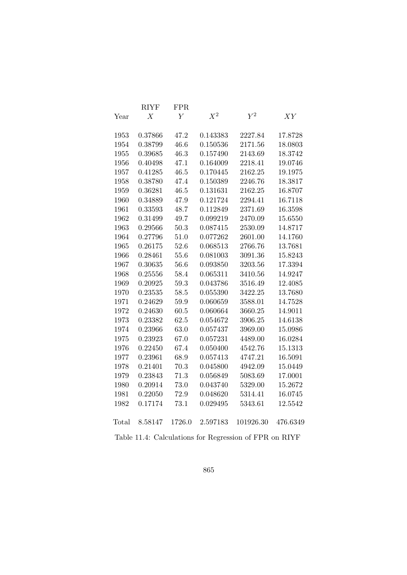|       | <b>RIYF</b>      | <b>FPR</b>     |          |                                                        |          |
|-------|------------------|----------------|----------|--------------------------------------------------------|----------|
| Year  | $\boldsymbol{X}$ | $\overline{Y}$ | $X^2$    | $\bar{Y}^2$                                            | XY       |
| 1953  | 0.37866          | 47.2           | 0.143383 | 2227.84                                                | 17.8728  |
| 1954  | 0.38799          | 46.6           | 0.150536 | 2171.56                                                | 18.0803  |
| 1955  | 0.39685          | 46.3           | 0.157490 | 2143.69                                                | 18.3742  |
| 1956  | 0.40498          | 47.1           | 0.164009 | 2218.41                                                | 19.0746  |
|       |                  | 46.5           |          |                                                        |          |
| 1957  | 0.41285          |                | 0.170445 | 2162.25                                                | 19.1975  |
| 1958  | 0.38780          | 47.4           | 0.150389 | 2246.76                                                | 18.3817  |
| 1959  | 0.36281          | 46.5           | 0.131631 | 2162.25                                                | 16.8707  |
| 1960  | 0.34889          | 47.9           | 0.121724 | 2294.41                                                | 16.7118  |
| 1961  | 0.33593          | 48.7           | 0.112849 | 2371.69                                                | 16.3598  |
| 1962  | 0.31499          | 49.7           | 0.099219 | 2470.09                                                | 15.6550  |
| 1963  | 0.29566          | 50.3           | 0.087415 | 2530.09                                                | 14.8717  |
| 1964  | 0.27796          | 51.0           | 0.077262 | 2601.00                                                | 14.1760  |
| 1965  | 0.26175          | 52.6           | 0.068513 | 2766.76                                                | 13.7681  |
| 1966  | 0.28461          | 55.6           | 0.081003 | 3091.36                                                | 15.8243  |
| 1967  | 0.30635          | 56.6           | 0.093850 | 3203.56                                                | 17.3394  |
| 1968  | 0.25556          | 58.4           | 0.065311 | 3410.56                                                | 14.9247  |
| 1969  | 0.20925          | 59.3           | 0.043786 | 3516.49                                                | 12.4085  |
| 1970  | 0.23535          | 58.5           | 0.055390 | 3422.25                                                | 13.7680  |
| 1971  | 0.24629          | 59.9           | 0.060659 | 3588.01                                                | 14.7528  |
| 1972  | 0.24630          | 60.5           | 0.060664 | 3660.25                                                | 14.9011  |
| 1973  | 0.23382          | 62.5           | 0.054672 | 3906.25                                                | 14.6138  |
| 1974  | 0.23966          | 63.0           | 0.057437 | 3969.00                                                | 15.0986  |
| 1975  | 0.23923          | 67.0           | 0.057231 | 4489.00                                                | 16.0284  |
| 1976  | 0.22450          | 67.4           | 0.050400 | 4542.76                                                | 15.1313  |
| 1977  | 0.23961          | 68.9           | 0.057413 | 4747.21                                                | 16.5091  |
| 1978  | 0.21401          | 70.3           | 0.045800 | 4942.09                                                | 15.0449  |
| 1979  | 0.23843          | 71.3           | 0.056849 | 5083.69                                                | 17.0001  |
| 1980  | 0.20914          | 73.0           | 0.043740 | 5329.00                                                | 15.2672  |
| 1981  | 0.22050          | 72.9           | 0.048620 | 5314.41                                                | 16.0745  |
| 1982  | 0.17174          | 73.1           | 0.029495 | 5343.61                                                | 12.5542  |
| Total | 8.58147          | 1726.0         | 2.597183 | 101926.30                                              | 476.6349 |
|       |                  |                |          | Table 11.4: Calculations for Regression of FPR on RIYF |          |

865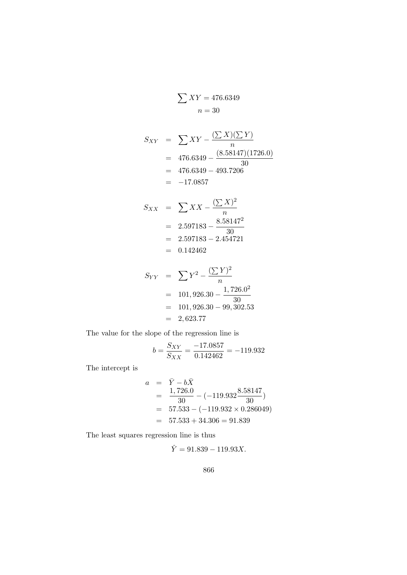$$
\sum XY = 476.6349
$$

$$
n = 30
$$

$$
S_{XY} = \sum XY - \frac{(\sum X)(\sum Y)}{n}
$$
  
= 476.6349 -  $\frac{(8.58147)(1726.0)}{30}$   
= 476.6349 - 493.7206  
= -17.0857

$$
S_{XX} = \sum XX - \frac{(\sum X)^2}{n}
$$
  
= 2.597183 -  $\frac{8.58147^2}{30}$   
= 2.597183 - 2.454721  
= 0.142462

$$
S_{YY} = \sum Y^2 - \frac{(\sum Y)^2}{n}
$$
  
= 101,926.30 -  $\frac{1,726.0^2}{30}$   
= 101,926.30 - 99,302.53  
= 2,623.77

The value for the slope of the regression line is

$$
b = \frac{S_{XY}}{S_{XX}} = \frac{-17.0857}{0.142462} = -119.932
$$

The intercept is

$$
a = \bar{Y} - b\bar{X}
$$
  
=  $\frac{1,726.0}{30} - (-119.932 \frac{8.58147}{30})$   
=  $57.533 - (-119.932 \times 0.286049)$   
=  $57.533 + 34.306 = 91.839$ 

The least squares regression line is thus

 $\hat{Y} = 91.839 - 119.93X.$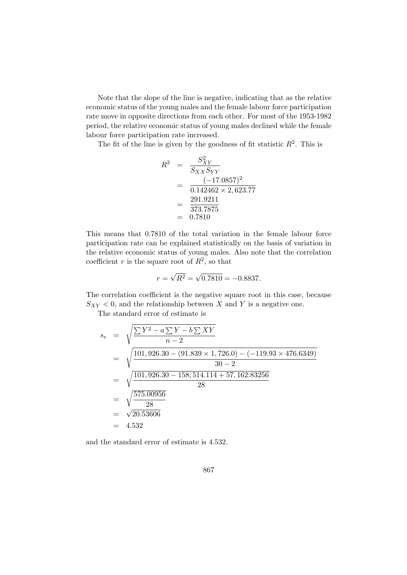Note that the slope of the line is negative, indicating that as the relative economic status of the young males and the female labour force participation rate move in opposite directions from each other. For most of the 1953-1982 period, the relative economic status of young males declined while the female labour force participation rate increased.

The fit of the line is given by the goodness of fit statistic  $R^2$ . This is

$$
R^{2} = \frac{S_{XY}^{2}}{S_{XX}S_{YY}}
$$
  
= 
$$
\frac{(-17.0857)^{2}}{0.142462 \times 2,623.77}
$$
  
= 
$$
\frac{291.9211}{373.7875}
$$
  
= 0.7810

This means that 0.7810 of the total variation in the female labour force participation rate can be explained statistically on the basis of variation in the relative economic status of young males. Also note that the correlation coefficient r is the square root of  $R^2$ , so that

$$
r = \sqrt{R^2} = \sqrt{0.7810} = -0.8837.
$$

The correlation coefficient is the negative square root in this case, because  $S_{XY}$  < 0, and the relationship between X and Y is a negative one.

The standard error of estimate is

$$
s_e = \sqrt{\frac{\sum Y^2 - a \sum Y - b \sum XY}{n - 2}}
$$
  
=  $\sqrt{\frac{101,926.30 - (91.839 \times 1,726.0) - (-119.93 \times 476.6349)}{30 - 2}}$   
=  $\sqrt{\frac{101,926.30 - 158,514.114 + 57,162.83256}{28}}$   
=  $\sqrt{\frac{575.00956}{28}}$   
=  $\sqrt{20.53606}$   
= 4.532

and the standard error of estimate is 4.532.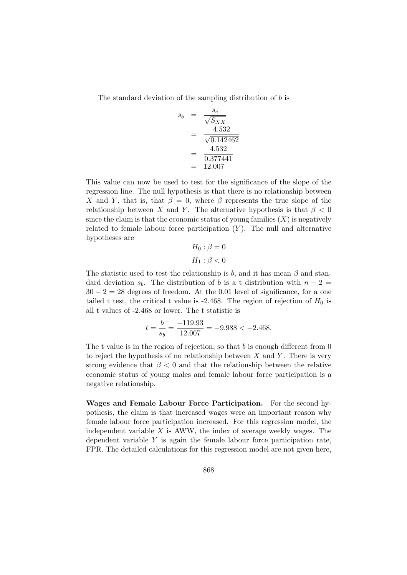The standard deviation of the sampling distribution of  $b$  is

$$
s_b = \frac{s_e}{\sqrt{S_{XX}}} = \frac{4.532}{\sqrt{0.142462}} = \frac{4.532}{0.377441} = 12.007
$$

This value can now be used to test for the significance of the slope of the regression line. The null hypothesis is that there is no relationship between X and Y, that is, that  $\beta = 0$ , where  $\beta$  represents the true slope of the relationship between X and Y. The alternative hypothesis is that  $\beta < 0$ since the claim is that the economic status of young families  $(X)$  is negatively related to female labour force participation  $(Y)$ . The null and alternative hypotheses are

$$
H_0: \beta = 0
$$

$$
H_1: \beta < 0
$$

The statistic used to test the relationship is b, and it has mean  $\beta$  and standard deviation  $s_b$ . The distribution of b is a t distribution with  $n-2=$  $30 - 2 = 28$  degrees of freedom. At the 0.01 level of significance, for a one tailed t test, the critical t value is  $-2.468$ . The region of rejection of  $H_0$  is all t values of -2.468 or lower. The t statistic is

$$
t = \frac{b}{s_b} = \frac{-119.93}{12.007} = -9.988 < -2.468.
$$

The t value is in the region of rejection, so that  $b$  is enough different from  $0$ to reject the hypothesis of no relationship between  $X$  and  $Y$ . There is very strong evidence that  $\beta < 0$  and that the relationship between the relative economic status of young males and female labour force participation is a negative relationship.

Wages and Female Labour Force Participation. For the second hypothesis, the claim is that increased wages were an important reason why female labour force participation increased. For this regression model, the independent variable  $X$  is AWW, the index of average weekly wages. The dependent variable  $Y$  is again the female labour force participation rate, FPR. The detailed calculations for this regression model are not given here,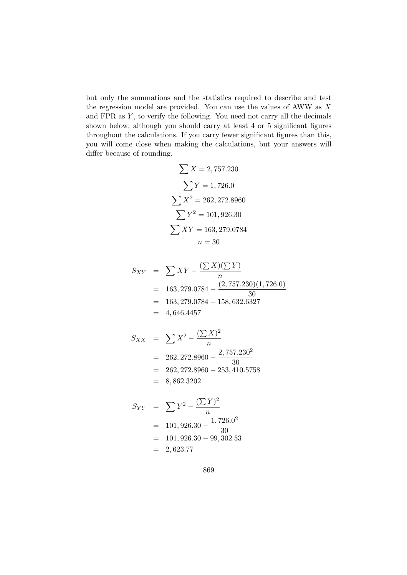but only the summations and the statistics required to describe and test the regression model are provided. You can use the values of AWW as  $X$ and  $FPR$  as  $Y$ , to verify the following. You need not carry all the decimals shown below, although you should carry at least 4 or 5 significant figures throughout the calculations. If you carry fewer significant figures than this, you will come close when making the calculations, but your answers will differ because of rounding.

$$
\sum X = 2,757.230
$$

$$
\sum Y = 1,726.0
$$

$$
\sum X^2 = 262,272.8960
$$

$$
\sum Y^2 = 101,926.30
$$

$$
\sum XY = 163,279.0784
$$

$$
n = 30
$$

$$
S_{XY} = \sum XY - \frac{(\sum X)(\sum Y)}{n}
$$
  
= 163,279.0784 -  $\frac{(2,757.230)(1,726.0)}{30}$   
= 163,279.0784 - 158,632.6327  
= 4,646.4457

$$
S_{XX} = \sum X^2 - \frac{(\sum X)^2}{n}
$$
  
= 262,272.8960 - \frac{2,757.230^2}{30}  
= 262,272.8960 - 253,410.5758  
= 8,862.3202

$$
S_{YY} = \sum Y^2 - \frac{(\sum Y)^2}{n}
$$
  
= 101,926.30 -  $\frac{1,726.0^2}{30}$   
= 101,926.30 - 99,302.53  
= 2,623.77

869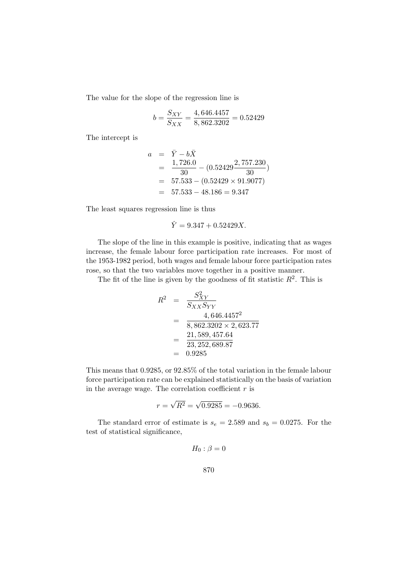The value for the slope of the regression line is

$$
b = \frac{S_{XY}}{S_{XX}} = \frac{4,646.4457}{8,862.3202} = 0.52429
$$

The intercept is

$$
a = \overline{Y} - b\overline{X}
$$
  
=  $\frac{1,726.0}{30} - (0.52429 \frac{2,757.230}{30})$   
= 57.533 - (0.52429 × 91.9077)  
= 57.533 - 48.186 = 9.347

The least squares regression line is thus

$$
\hat{Y} = 9.347 + 0.52429X.
$$

The slope of the line in this example is positive, indicating that as wages increase, the female labour force participation rate increases. For most of the 1953-1982 period, both wages and female labour force participation rates rose, so that the two variables move together in a positive manner.

The fit of the line is given by the goodness of fit statistic  $R^2$ . This is

$$
R^{2} = \frac{S_{XY}^{2}}{S_{XX}S_{YY}}
$$
  
= 
$$
\frac{4,646.4457^{2}}{8,862.3202 \times 2,623.77}
$$
  
= 
$$
\frac{21,589,457.64}{23,252,689.87}
$$
  
= 0.9285

This means that 0.9285, or 92.85% of the total variation in the female labour force participation rate can be explained statistically on the basis of variation in the average wage. The correlation coefficient  $r$  is

$$
r = \sqrt{R^2} = \sqrt{0.9285} = -0.9636.
$$

The standard error of estimate is  $s_e = 2.589$  and  $s_b = 0.0275$ . For the test of statistical significance,

$$
H_0: \beta = 0
$$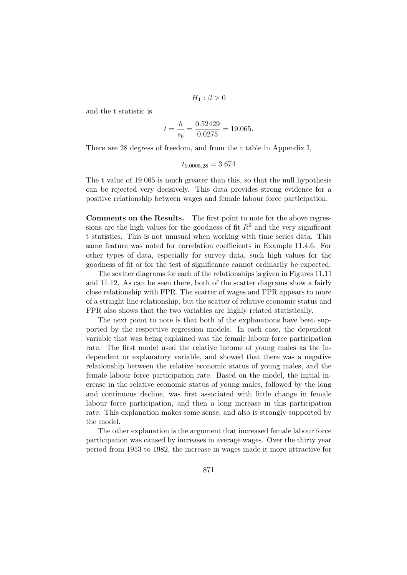$$
H_1: \beta > 0
$$

and the t statistic is

$$
t = \frac{b}{s_b} = \frac{0.52429}{0.0275} = 19.065.
$$

There are 28 degress of freedom, and from the t table in Appendix I,

$$
t_{0.0005,28} = 3.674
$$

The t value of 19.065 is much greater than this, so that the null hypothesis can be rejected very decisively. This data provides strong evidence for a positive relationship between wages and female labour force participation.

Comments on the Results. The first point to note for the above regressions are the high values for the goodness of fit  $R^2$  and the very significant t statistics. This is not unusual when working with time series data. This same feature was noted for correlation coefficients in Example 11.4.6. For other types of data, especially for survey data, such high values for the goodness of fit or for the test of significance cannot ordinarily be expected.

The scatter diagrams for each of the relationships is given in Figures 11.11 and 11.12. As can be seen there, both of the scatter diagrams show a fairly close relationship with FPR. The scatter of wages and FPR appears to more of a straight line relationship, but the scatter of relative economic status and FPR also shows that the two variables are highly related statistically.

The next point to note is that both of the explanations have been supported by the respective regression models. In each case, the dependent variable that was being explained was the female labour force participation rate. The first model used the relative income of young males as the independent or explanatory variable, and showed that there was a negative relationship between the relative economic status of young males, and the female labour force participation rate. Based on the model, the initial increase in the relative economic status of young males, followed by the long and continuous decline, was first associated with little change in female labour force participation, and then a long increase in this participation rate. This explanation makes some sense, and also is strongly supported by the model.

The other explanation is the argument that increased female labour force participation was caused by increases in average wages. Over the thirty year period from 1953 to 1982, the increase in wages made it more attractive for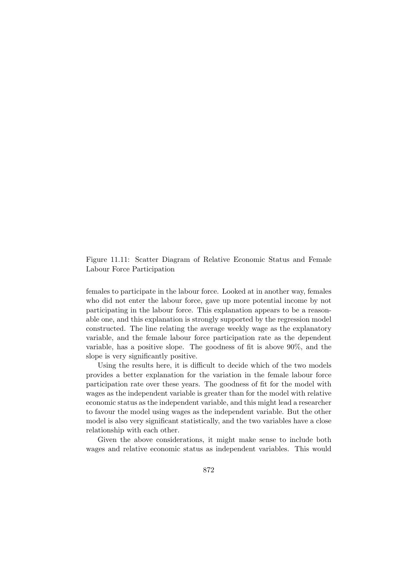Figure 11.11: Scatter Diagram of Relative Economic Status and Female Labour Force Participation

females to participate in the labour force. Looked at in another way, females who did not enter the labour force, gave up more potential income by not participating in the labour force. This explanation appears to be a reasonable one, and this explanation is strongly supported by the regression model constructed. The line relating the average weekly wage as the explanatory variable, and the female labour force participation rate as the dependent variable, has a positive slope. The goodness of fit is above 90%, and the slope is very significantly positive.

Using the results here, it is difficult to decide which of the two models provides a better explanation for the variation in the female labour force participation rate over these years. The goodness of fit for the model with wages as the independent variable is greater than for the model with relative economic status as the independent variable, and this might lead a researcher to favour the model using wages as the independent variable. But the other model is also very significant statistically, and the two variables have a close relationship with each other.

Given the above considerations, it might make sense to include both wages and relative economic status as independent variables. This would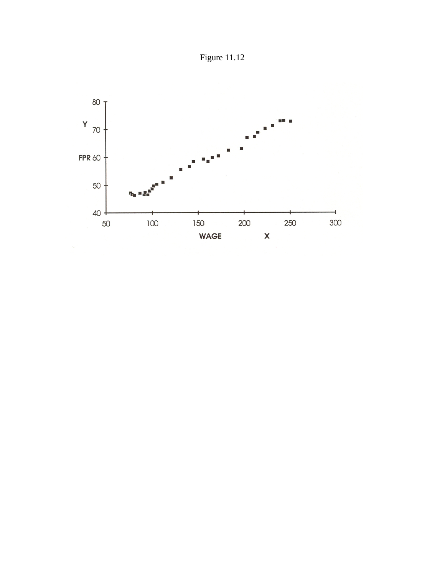

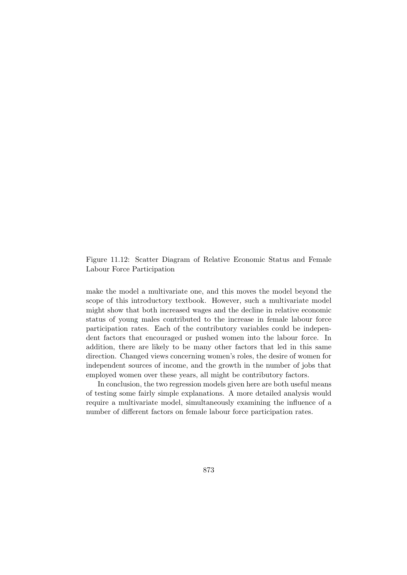Figure 11.12: Scatter Diagram of Relative Economic Status and Female Labour Force Participation

make the model a multivariate one, and this moves the model beyond the scope of this introductory textbook. However, such a multivariate model might show that both increased wages and the decline in relative economic status of young males contributed to the increase in female labour force participation rates. Each of the contributory variables could be independent factors that encouraged or pushed women into the labour force. In addition, there are likely to be many other factors that led in this same direction. Changed views concerning women's roles, the desire of women for independent sources of income, and the growth in the number of jobs that employed women over these years, all might be contributory factors.

In conclusion, the two regression models given here are both useful means of testing some fairly simple explanations. A more detailed analysis would require a multivariate model, simultaneously examining the influence of a number of different factors on female labour force participation rates.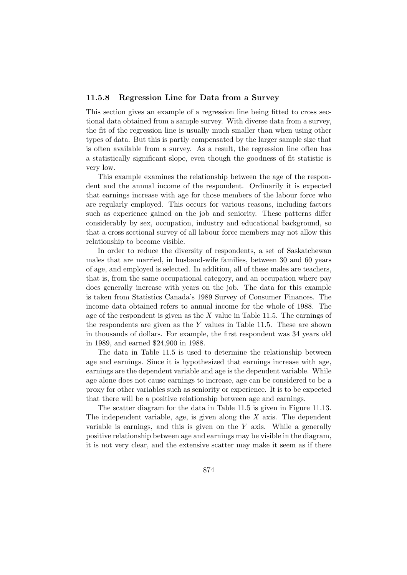#### 11.5.8 Regression Line for Data from a Survey

This section gives an example of a regression line being fitted to cross sectional data obtained from a sample survey. With diverse data from a survey, the fit of the regression line is usually much smaller than when using other types of data. But this is partly compensated by the larger sample size that is often available from a survey. As a result, the regression line often has a statistically significant slope, even though the goodness of fit statistic is very low.

This example examines the relationship between the age of the respondent and the annual income of the respondent. Ordinarily it is expected that earnings increase with age for those members of the labour force who are regularly employed. This occurs for various reasons, including factors such as experience gained on the job and seniority. These patterns differ considerably by sex, occupation, industry and educational background, so that a cross sectional survey of all labour force members may not allow this relationship to become visible.

In order to reduce the diversity of respondents, a set of Saskatchewan males that are married, in husband-wife families, between 30 and 60 years of age, and employed is selected. In addition, all of these males are teachers, that is, from the same occupational category, and an occupation where pay does generally increase with years on the job. The data for this example is taken from Statistics Canada's 1989 Survey of Consumer Finances. The income data obtained refers to annual income for the whole of 1988. The age of the respondent is given as the  $X$  value in Table 11.5. The earnings of the respondents are given as the  $Y$  values in Table 11.5. These are shown in thousands of dollars. For example, the first respondent was 34 years old in 1989, and earned \$24,900 in 1988.

The data in Table 11.5 is used to determine the relationship between age and earnings. Since it is hypothesized that earnings increase with age, earnings are the dependent variable and age is the dependent variable. While age alone does not cause earnings to increase, age can be considered to be a proxy for other variables such as seniority or experience. It is to be expected that there will be a positive relationship between age and earnings.

The scatter diagram for the data in Table 11.5 is given in Figure 11.13. The independent variable, age, is given along the  $X$  axis. The dependent variable is earnings, and this is given on the Y axis. While a generally positive relationship between age and earnings may be visible in the diagram, it is not very clear, and the extensive scatter may make it seem as if there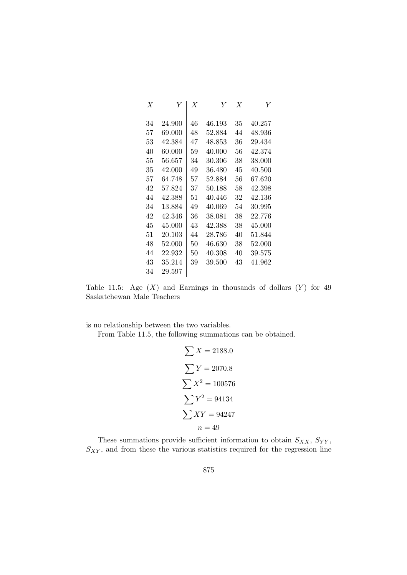| $\boldsymbol{X}$ | Y      | $\boldsymbol{X}$ | Y      | $\boldsymbol{X}$ | Y      |
|------------------|--------|------------------|--------|------------------|--------|
| 34               | 24.900 | 46               | 46.193 | 35               | 40.257 |
| 57               | 69.000 | 48               | 52.884 | 44               | 48.936 |
| 53               | 42.384 | 47               | 48.853 | 36               | 29.434 |
| 40               | 60.000 | 59               | 40.000 | 56               | 42.374 |
| 55               | 56.657 | 34               | 30.306 | 38               | 38.000 |
| 35               | 42.000 | 49               | 36.480 | 45               | 40.500 |
| 57               | 64.748 | 57               | 52.884 | 56               | 67.620 |
| 42               | 57.824 | 37               | 50.188 | 58               | 42.398 |
| 44               | 42.388 | 51               | 40.446 | 32               | 42.136 |
| 34               | 13.884 | 49               | 40.069 | 54               | 30.995 |
| 42               | 42.346 | 36               | 38.081 | 38               | 22.776 |
| 45               | 45,000 | 43               | 42.388 | 38               | 45.000 |
| 51               | 20.103 | 44               | 28.786 | 40               | 51.844 |
| 48               | 52.000 | 50               | 46.630 | 38               | 52.000 |
| 44               | 22.932 | 50               | 40.308 | 40               | 39.575 |
| 43               | 35.214 | 39               | 39.500 | 43               | 41.962 |
| 34               | 29.597 |                  |        |                  |        |

Table 11.5: Age  $(X)$  and Earnings in thousands of dollars  $(Y)$  for 49 Saskatchewan Male Teachers

is no relationship between the two variables.

From Table 11.5, the following summations can be obtained.

$$
\sum X = 2188.0
$$
  

$$
\sum Y = 2070.8
$$
  

$$
\sum X^2 = 100576
$$
  

$$
\sum Y^2 = 94134
$$
  

$$
\sum XY = 94247
$$
  

$$
n = 49
$$

These summations provide sufficient information to obtain  $S_{XX}$ ,  $S_{YY}$ ,  $S_{XY}$ , and from these the various statistics required for the regression line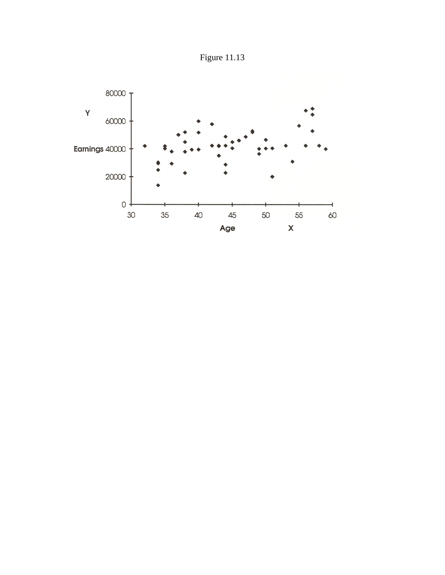

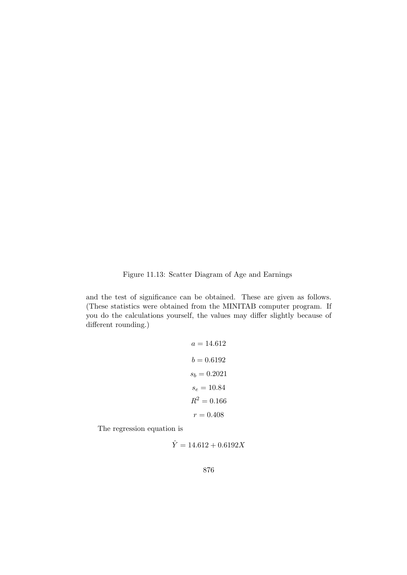Figure 11.13: Scatter Diagram of Age and Earnings

and the test of significance can be obtained. These are given as follows. (These statistics were obtained from the MINITAB computer program. If you do the calculations yourself, the values may differ slightly because of different rounding.)

$$
a = 14.612
$$

$$
b = 0.6192
$$

$$
s_b = 0.2021
$$

$$
s_e = 10.84
$$

$$
R^2 = 0.166
$$

$$
r = 0.408
$$

The regression equation is

$$
\hat{Y} = 14.612 + 0.6192X
$$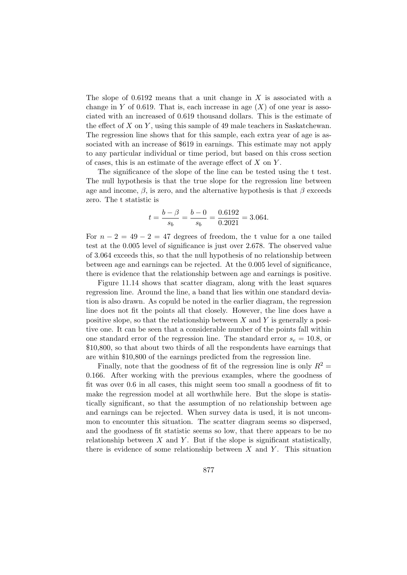The slope of  $0.6192$  means that a unit change in X is associated with a change in Y of 0.619. That is, each increase in age  $(X)$  of one year is associated with an increased of 0.619 thousand dollars. This is the estimate of the effect of  $X$  on  $Y$ , using this sample of 49 male teachers in Saskatchewan. The regression line shows that for this sample, each extra year of age is associated with an increase of \$619 in earnings. This estimate may not apply to any particular individual or time period, but based on this cross section of cases, this is an estimate of the average effect of  $X$  on  $Y$ .

The significance of the slope of the line can be tested using the t test. The null hypothesis is that the true slope for the regression line between age and income,  $\beta$ , is zero, and the alternative hypothesis is that  $\beta$  exceeds zero. The t statistic is

$$
t = \frac{b - \beta}{s_b} = \frac{b - 0}{s_b} = \frac{0.6192}{0.2021} = 3.064.
$$

For  $n - 2 = 49 - 2 = 47$  degrees of freedom, the t value for a one tailed test at the 0.005 level of significance is just over 2.678. The observed value of 3.064 exceeds this, so that the null hypothesis of no relationship between between age and earnings can be rejected. At the 0.005 level of significance, there is evidence that the relationship between age and earnings is positive.

Figure 11.14 shows that scatter diagram, along with the least squares regression line. Around the line, a band that lies within one standard deviation is also drawn. As copuld be noted in the earlier diagram, the regression line does not fit the points all that closely. However, the line does have a positive slope, so that the relationship between  $X$  and  $Y$  is generally a positive one. It can be seen that a considerable number of the points fall within one standard error of the regression line. The standard error  $s_e = 10.8$ , or \$10,800, so that about two thirds of all the respondents have earnings that are within \$10,800 of the earnings predicted from the regression line.

Finally, note that the goodness of fit of the regression line is only  $R^2 =$ 0.166. After working with the previous examples, where the goodness of fit was over 0.6 in all cases, this might seem too small a goodness of fit to make the regression model at all worthwhile here. But the slope is statistically significant, so that the assumption of no relationship between age and earnings can be rejected. When survey data is used, it is not uncommon to encounter this situation. The scatter diagram seems so dispersed, and the goodness of fit statistic seems so low, that there appears to be no relationship between  $X$  and  $Y$ . But if the slope is significant statistically, there is evidence of some relationship between  $X$  and  $Y$ . This situation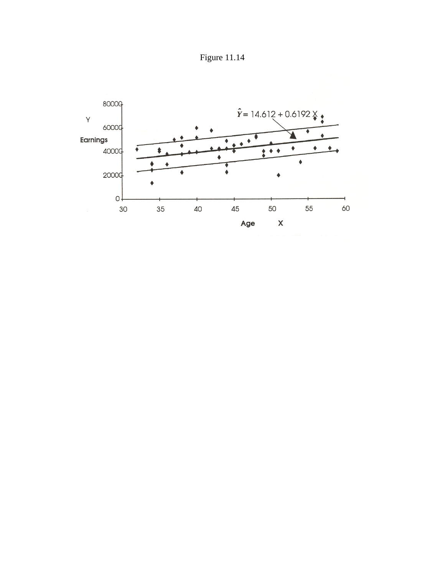Figure 11.14

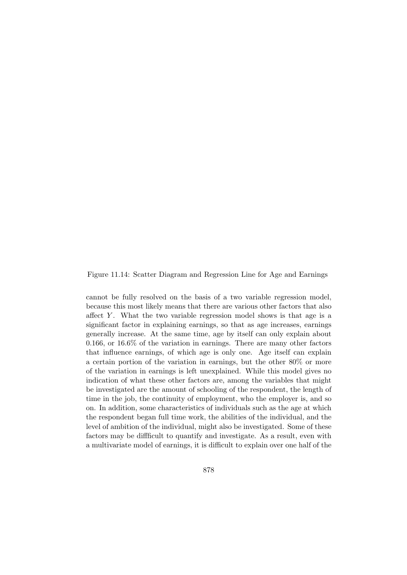#### Figure 11.14: Scatter Diagram and Regression Line for Age and Earnings

cannot be fully resolved on the basis of a two variable regression model, because this most likely means that there are various other factors that also affect  $Y$ . What the two variable regression model shows is that age is a significant factor in explaining earnings, so that as age increases, earnings generally increase. At the same time, age by itself can only explain about 0.166, or 16.6% of the variation in earnings. There are many other factors that influence earnings, of which age is only one. Age itself can explain a certain portion of the variation in earnings, but the other 80% or more of the variation in earnings is left unexplained. While this model gives no indication of what these other factors are, among the variables that might be investigated are the amount of schooling of the respondent, the length of time in the job, the continuity of employment, who the employer is, and so on. In addition, some characteristics of individuals such as the age at which the respondent began full time work, the abilities of the individual, and the level of ambition of the individual, might also be investigated. Some of these factors may be diffficult to quantify and investigate. As a result, even with a multivariate model of earnings, it is difficult to explain over one half of the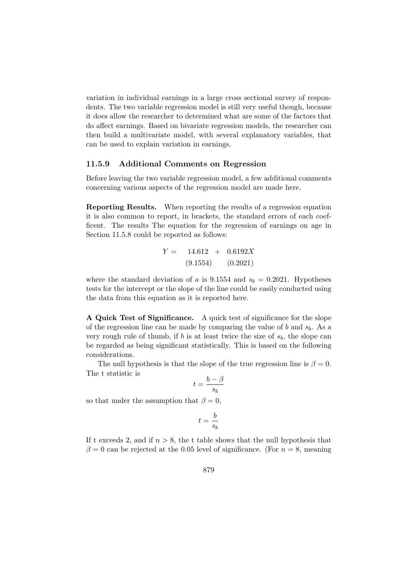variation in individual earnings in a large cross sectional survey of respondents. The two variable regression model is still very useful though, because it does allow the researcher to determined what are some of the factors that do affect earnings. Based on bivariate regression models, the researcher can then build a multivariate model, with several explanatory variables, that can be used to explain variation in earnings.

#### 11.5.9 Additional Comments on Regression

Before leaving the two variable regression model, a few additional comments concerning various aspects of the regression model are made here.

Reporting Results. When reporting the results of a regression equation it is also common to report, in brackets, the standard errors of each coefficent. The results The equation for the regression of earnings on age in Section 11.5.8 could be reported as follows:

$$
Y = 14.612 + 0.6192X
$$
  
(9.1554) (0.2021)

where the standard deviation of a is 9.1554 and  $s_b = 0.2021$ . Hypotheses tests for the intercept or the slope of the line could be easily conducted using the data from this equation as it is reported here.

A Quick Test of Significance. A quick test of significance for the slope of the regression line can be made by comparing the value of  $b$  and  $s_b$ . As a very rough rule of thumb, if b is at least twice the size of  $s<sub>b</sub>$ , the slope can be regarded as being significant statistically. This is based on the following considerations.

The null hypothesis is that the slope of the true regression line is  $\beta = 0$ . The t statistic is

$$
t = \frac{b - \beta}{s_b}
$$

so that under the assumption that  $\beta = 0$ ,

$$
t=\frac{b}{s_b}
$$

If t exceeds 2, and if  $n > 8$ , the t table shows that the null hypothesis that  $\beta = 0$  can be rejected at the 0.05 level of significance. (For  $n = 8$ , meaning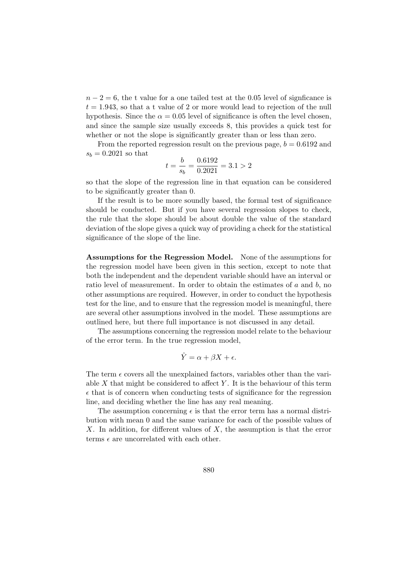$n-2=6$ , the t value for a one tailed test at the 0.05 level of signficance is  $t = 1.943$ , so that a t value of 2 or more would lead to rejection of the null hypothesis. Since the  $\alpha = 0.05$  level of significance is often the level chosen, and since the sample size usually exceeds 8, this provides a quick test for whether or not the slope is significantly greater than or less than zero.

From the reported regression result on the previous page,  $b = 0.6192$  and  $s_b = 0.2021$  so that

$$
t = \frac{b}{s_b} = \frac{0.6192}{0.2021} = 3.1 > 2
$$

so that the slope of the regression line in that equation can be considered to be significantly greater than 0.

If the result is to be more soundly based, the formal test of significance should be conducted. But if you have several regression slopes to check, the rule that the slope should be about double the value of the standard deviation of the slope gives a quick way of providing a check for the statistical significance of the slope of the line.

Assumptions for the Regression Model. None of the assumptions for the regression model have been given in this section, except to note that both the independent and the dependent variable should have an interval or ratio level of measurement. In order to obtain the estimates of a and b, no other assumptions are required. However, in order to conduct the hypothesis test for the line, and to ensure that the regression model is meaningful, there are several other assumptions involved in the model. These assumptions are outlined here, but there full importance is not discussed in any detail.

The assumptions concerning the regression model relate to the behaviour of the error term. In the true regression model,

$$
\hat{Y} = \alpha + \beta X + \epsilon.
$$

The term  $\epsilon$  covers all the unexplained factors, variables other than the variable  $X$  that might be considered to affect  $Y$ . It is the behaviour of this term  $\epsilon$  that is of concern when conducting tests of significance for the regression line, and deciding whether the line has any real meaning.

The assumption concerning  $\epsilon$  is that the error term has a normal distribution with mean 0 and the same variance for each of the possible values of  $X$ . In addition, for different values of  $X$ , the assumption is that the error terms  $\epsilon$  are uncorrelated with each other.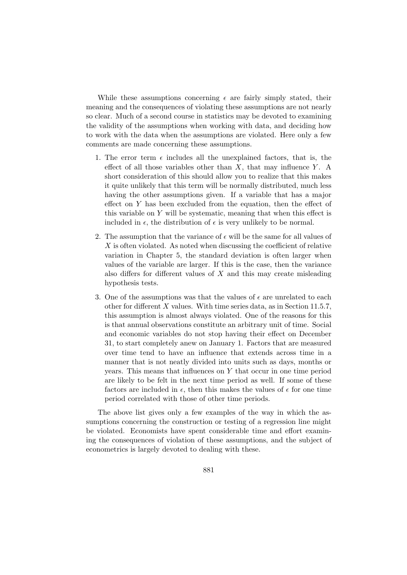While these assumptions concerning  $\epsilon$  are fairly simply stated, their meaning and the consequences of violating these assumptions are not nearly so clear. Much of a second course in statistics may be devoted to examining the validity of the assumptions when working with data, and deciding how to work with the data when the assumptions are violated. Here only a few comments are made concerning these assumptions.

- 1. The error term  $\epsilon$  includes all the unexplained factors, that is, the effect of all those variables other than  $X$ , that may influence  $Y$ . A short consideration of this should allow you to realize that this makes it quite unlikely that this term will be normally distributed, much less having the other assumptions given. If a variable that has a major effect on Y has been excluded from the equation, then the effect of this variable on  $Y$  will be systematic, meaning that when this effect is included in  $\epsilon$ , the distribution of  $\epsilon$  is very unlikely to be normal.
- 2. The assumption that the variance of  $\epsilon$  will be the same for all values of X is often violated. As noted when discussing the coefficient of relative variation in Chapter 5, the standard deviation is often larger when values of the variable are larger. If this is the case, then the variance also differs for different values of  $X$  and this may create misleading hypothesis tests.
- 3. One of the assumptions was that the values of  $\epsilon$  are unrelated to each other for different X values. With time series data, as in Section 11.5.7, this assumption is almost always violated. One of the reasons for this is that annual observations constitute an arbitrary unit of time. Social and economic variables do not stop having their effect on December 31, to start completely anew on January 1. Factors that are measured over time tend to have an influence that extends across time in a manner that is not neatly divided into units such as days, months or years. This means that influences on Y that occur in one time period are likely to be felt in the next time period as well. If some of these factors are included in  $\epsilon$ , then this makes the values of  $\epsilon$  for one time period correlated with those of other time periods.

The above list gives only a few examples of the way in which the assumptions concerning the construction or testing of a regression line might be violated. Economists have spent considerable time and effort examining the consequences of violation of these assumptions, and the subject of econometrics is largely devoted to dealing with these.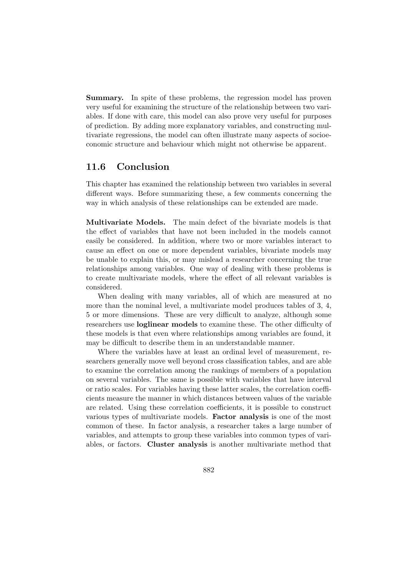Summary. In spite of these problems, the regression model has proven very useful for examining the structure of the relationship between two variables. If done with care, this model can also prove very useful for purposes of prediction. By adding more explanatory variables, and constructing multivariate regressions, the model can often illustrate many aspects of socioeconomic structure and behaviour which might not otherwise be apparent.

# 11.6 Conclusion

This chapter has examined the relationship between two variables in several different ways. Before summarizing these, a few comments concerning the way in which analysis of these relationships can be extended are made.

Multivariate Models. The main defect of the bivariate models is that the effect of variables that have not been included in the models cannot easily be considered. In addition, where two or more variables interact to cause an effect on one or more dependent variables, bivariate models may be unable to explain this, or may mislead a researcher concerning the true relationships among variables. One way of dealing with these problems is to create multivariate models, where the effect of all relevant variables is considered.

When dealing with many variables, all of which are measured at no more than the nominal level, a multivariate model produces tables of 3, 4, 5 or more dimensions. These are very difficult to analyze, although some researchers use loglinear models to examine these. The other difficulty of these models is that even where relationships among variables are found, it may be difficult to describe them in an understandable manner.

Where the variables have at least an ordinal level of measurement, researchers generally move well beyond cross classification tables, and are able to examine the correlation among the rankings of members of a population on several variables. The same is possible with variables that have interval or ratio scales. For variables having these latter scales, the correlation coefficients measure the manner in which distances between values of the variable are related. Using these correlation coefficients, it is possible to construct various types of multivariate models. Factor analysis is one of the most common of these. In factor analysis, a researcher takes a large number of variables, and attempts to group these variables into common types of variables, or factors. Cluster analysis is another multivariate method that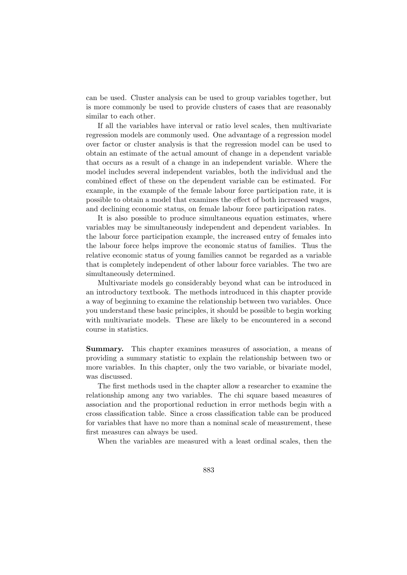can be used. Cluster analysis can be used to group variables together, but is more commonly be used to provide clusters of cases that are reasonably similar to each other.

If all the variables have interval or ratio level scales, then multivariate regression models are commonly used. One advantage of a regression model over factor or cluster analysis is that the regression model can be used to obtain an estimate of the actual amount of change in a dependent variable that occurs as a result of a change in an independent variable. Where the model includes several independent variables, both the individual and the combined effect of these on the dependent variable can be estimated. For example, in the example of the female labour force participation rate, it is possible to obtain a model that examines the effect of both increased wages, and declining economic status, on female labour force participation rates.

It is also possible to produce simultaneous equation estimates, where variables may be simultaneously independent and dependent variables. In the labour force participation example, the increased entry of females into the labour force helps improve the economic status of families. Thus the relative economic status of young families cannot be regarded as a variable that is completely independent of other labour force variables. The two are simultaneously determined.

Multivariate models go considerably beyond what can be introduced in an introductory textbook. The methods introduced in this chapter provide a way of beginning to examine the relationship between two variables. Once you understand these basic principles, it should be possible to begin working with multivariate models. These are likely to be encountered in a second course in statistics.

Summary. This chapter examines measures of association, a means of providing a summary statistic to explain the relationship between two or more variables. In this chapter, only the two variable, or bivariate model, was discussed.

The first methods used in the chapter allow a researcher to examine the relationship among any two variables. The chi square based measures of association and the proportional reduction in error methods begin with a cross classification table. Since a cross classification table can be produced for variables that have no more than a nominal scale of measurement, these first measures can always be used.

When the variables are measured with a least ordinal scales, then the